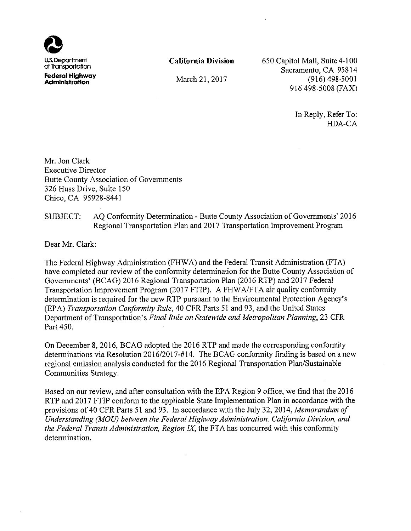

Federal Highway Administration

**California Division** 

March 21, 2017

650 Capitol Mall, Suite 4-100 Sacramento, CA 95814  $(916)$  498-5001 916 498-5008 (FAX)

> In Reply, Refer To: HDA-CA

Mr. Jon Clark **Executive Director Butte County Association of Governments** 326 Huss Drive, Suite 150 Chico, CA 95928-8441

#### SUBJECT: AQ Conformity Determination - Butte County Association of Governments' 2016 Regional Transportation Plan and 2017 Transportation Improvement Program

Dear Mr. Clark:

The Federal Highway Administration (FHWA) and the Federal Transit Administration (FTA) have completed our review of the conformity determination for the Butte County Association of Governments' (BCAG) 2016 Regional Transportation Plan (2016 RTP) and 2017 Federal Transportation Improvement Program (2017 FTIP). A FHWA/FTA air quality conformity determination is required for the new RTP pursuant to the Environmental Protection Agency's (EPA) Transportation Conformity Rule, 40 CFR Parts 51 and 93, and the United States Department of Transportation's Final Rule on Statewide and Metropolitan Planning, 23 CFR Part 450.

On December 8, 2016, BCAG adopted the 2016 RTP and made the corresponding conformity determinations via Resolution 2016/2017-#14. The BCAG conformity finding is based on a new regional emission analysis conducted for the 2016 Regional Transportation Plan/Sustainable Communities Strategy.

Based on our review, and after consultation with the EPA Region 9 office, we find that the 2016 RTP and 2017 FTIP conform to the applicable State Implementation Plan in accordance with the provisions of 40 CFR Parts 51 and 93. In accordance with the July 32, 2014, Memorandum of Understanding (MOU) between the Federal Highway Administration, California Division, and the Federal Transit Administration, Region IX, the FTA has concurred with this conformity determination.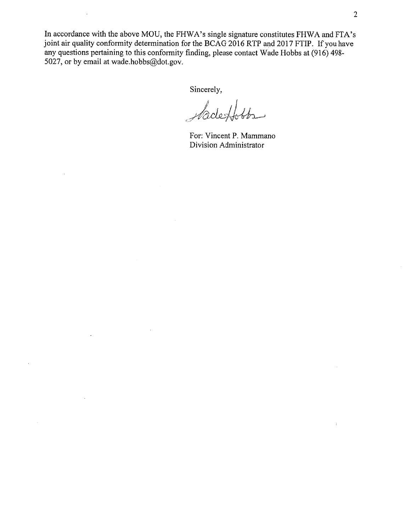In accordance with the above MOU, the FHWA's single signature constitutes FHWA and FTA's joint air quality conformity determination for the BCAG 2016 RTP and 2017 FTIP. If you have any questions pertaining to this conformity finding, please contact Wade Hobbs at (916) 498-5027, or by email at wade.hobbs@dot.gov.

Sincerely,

 $d$ o skh  $4b-$ 

For: Vincent P. Mammano Division Administrator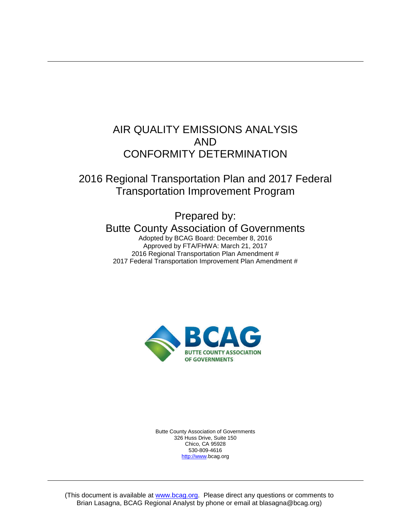# AIR QUALITY EMISSIONS ANALYSIS AND CONFORMITY DETERMINATION

# 2016 Regional Transportation Plan and 2017 Federal Transportation Improvement Program

Prepared by: Butte County Association of Governments Adopted by BCAG Board: December 8, 2016

Approved by FTA/FHWA: March 21, 2017 2016 Regional Transportation Plan Amendment # 2017 Federal Transportation Improvement Plan Amendment #



Butte County Association of Governments 326 Huss Drive, Suite 150 Chico, CA 95928 530-809-4616 [http://www.](http://www/)bcag.org

(This document is available at [www.bcag.org.](http://www.bcag.oeg/) Please direct any questions or comments to Brian Lasagna, BCAG Regional Analyst by phone or email at blasagna@bcag.org)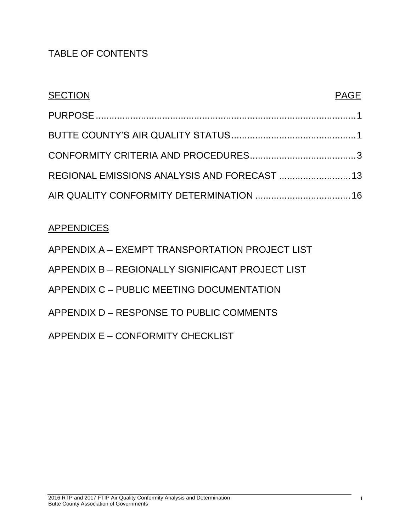# TABLE OF CONTENTS

| <b>SECTION</b>                               | <b>PAGE</b> |
|----------------------------------------------|-------------|
|                                              |             |
|                                              |             |
|                                              |             |
| REGIONAL EMISSIONS ANALYSIS AND FORECAST  13 |             |
|                                              |             |

# **APPENDICES**

<span id="page-3-0"></span>

| APPENDIX A - EXEMPT TRANSPORTATION PROJECT LIST  |
|--------------------------------------------------|
| APPENDIX B - REGIONALLY SIGNIFICANT PROJECT LIST |
| APPENDIX C - PUBLIC MEETING DOCUMENTATION        |
| APPENDIX D – RESPONSE TO PUBLIC COMMENTS         |
| APPENDIX E – CONFORMITY CHECKLIST                |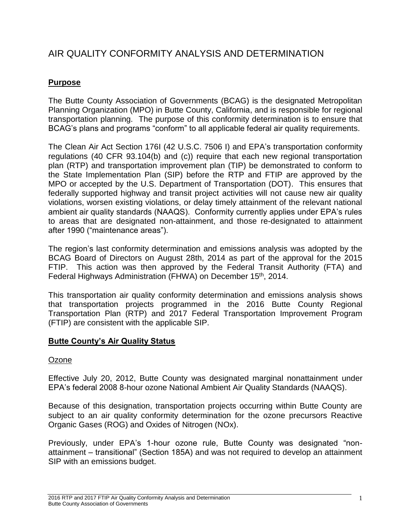# AIR QUALITY CONFORMITY ANALYSIS AND DETERMINATION

# **Purpose**

The Butte County Association of Governments (BCAG) is the designated Metropolitan Planning Organization (MPO) in Butte County, California, and is responsible for regional transportation planning. The purpose of this conformity determination is to ensure that BCAG's plans and programs "conform" to all applicable federal air quality requirements.

The Clean Air Act Section 176I (42 U.S.C. 7506 I) and EPA's transportation conformity regulations (40 CFR 93.104(b) and (c)) require that each new regional transportation plan (RTP) and transportation improvement plan (TIP) be demonstrated to conform to the State Implementation Plan (SIP) before the RTP and FTIP are approved by the MPO or accepted by the U.S. Department of Transportation (DOT). This ensures that federally supported highway and transit project activities will not cause new air quality violations, worsen existing violations, or delay timely attainment of the relevant national ambient air quality standards (NAAQS). Conformity currently applies under EPA's rules to areas that are designated non-attainment, and those re-designated to attainment after 1990 ("maintenance areas").

The region's last conformity determination and emissions analysis was adopted by the BCAG Board of Directors on August 28th, 2014 as part of the approval for the 2015 FTIP. This action was then approved by the Federal Transit Authority (FTA) and Federal Highways Administration (FHWA) on December 15<sup>th</sup>, 2014.

This transportation air quality conformity determination and emissions analysis shows that transportation projects programmed in the 2016 Butte County Regional Transportation Plan (RTP) and 2017 Federal Transportation Improvement Program (FTIP) are consistent with the applicable SIP.

# <span id="page-4-0"></span>**Butte County's Air Quality Status**

# **Ozone**

Effective July 20, 2012, Butte County was designated marginal nonattainment under EPA's federal 2008 8-hour ozone National Ambient Air Quality Standards (NAAQS).

Because of this designation, transportation projects occurring within Butte County are subject to an air quality conformity determination for the ozone precursors Reactive Organic Gases (ROG) and Oxides of Nitrogen (NOx).

Previously, under EPA's 1-hour ozone rule, Butte County was designated "nonattainment – transitional" (Section 185A) and was not required to develop an attainment SIP with an emissions budget.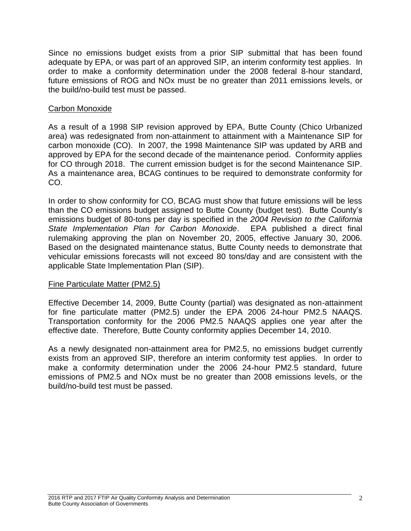Since no emissions budget exists from a prior SIP submittal that has been found adequate by EPA, or was part of an approved SIP, an interim conformity test applies. In order to make a conformity determination under the 2008 federal 8-hour standard, future emissions of ROG and NOx must be no greater than 2011 emissions levels, or the build/no-build test must be passed.

# Carbon Monoxide

As a result of a 1998 SIP revision approved by EPA, Butte County (Chico Urbanized area) was redesignated from non-attainment to attainment with a Maintenance SIP for carbon monoxide (CO). In 2007, the 1998 Maintenance SIP was updated by ARB and approved by EPA for the second decade of the maintenance period. Conformity applies for CO through 2018. The current emission budget is for the second Maintenance SIP. As a maintenance area, BCAG continues to be required to demonstrate conformity for CO.

In order to show conformity for CO, BCAG must show that future emissions will be less than the CO emissions budget assigned to Butte County (budget test). Butte County's emissions budget of 80-tons per day is specified in the *2004 Revision to the California State Implementation Plan for Carbon Monoxide*. EPA published a direct final rulemaking approving the plan on November 20, 2005, effective January 30, 2006. Based on the designated maintenance status, Butte County needs to demonstrate that vehicular emissions forecasts will not exceed 80 tons/day and are consistent with the applicable State Implementation Plan (SIP).

# Fine Particulate Matter (PM2.5)

Effective December 14, 2009, Butte County (partial) was designated as non-attainment for fine particulate matter (PM2.5) under the EPA 2006 24-hour PM2.5 NAAQS. Transportation conformity for the 2006 PM2.5 NAAQS applies one year after the effective date. Therefore, Butte County conformity applies December 14, 2010.

<span id="page-5-0"></span>As a newly designated non-attainment area for PM2.5, no emissions budget currently exists from an approved SIP, therefore an interim conformity test applies. In order to make a conformity determination under the 2006 24-hour PM2.5 standard, future emissions of PM2.5 and NOx must be no greater than 2008 emissions levels, or the build/no-build test must be passed.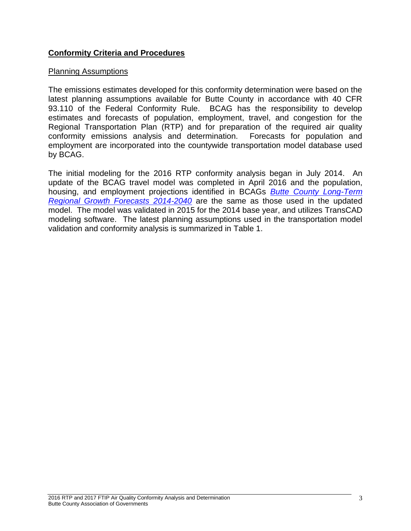# **Conformity Criteria and Procedures**

#### Planning Assumptions

The emissions estimates developed for this conformity determination were based on the latest planning assumptions available for Butte County in accordance with 40 CFR 93.110 of the Federal Conformity Rule. BCAG has the responsibility to develop estimates and forecasts of population, employment, travel, and congestion for the Regional Transportation Plan (RTP) and for preparation of the required air quality conformity emissions analysis and determination. Forecasts for population and employment are incorporated into the countywide transportation model database used by BCAG.

The initial modeling for the 2016 RTP conformity analysis began in July 2014. An update of the BCAG travel model was completed in April 2016 and the population, housing, and employment projections identified in BCAGs *[Butte County Long-Term](http://www.bcag.org/documents/demographics/pop_emp_projections/Growth_Forecasts_2014-2040_draft.pdf)  [Regional Growth Forecasts 2014-2040](http://www.bcag.org/documents/demographics/pop_emp_projections/Growth_Forecasts_2014-2040_draft.pdf)* are the same as those used in the updated model. The model was validated in 2015 for the 2014 base year, and utilizes TransCAD modeling software. The latest planning assumptions used in the transportation model validation and conformity analysis is summarized in Table 1.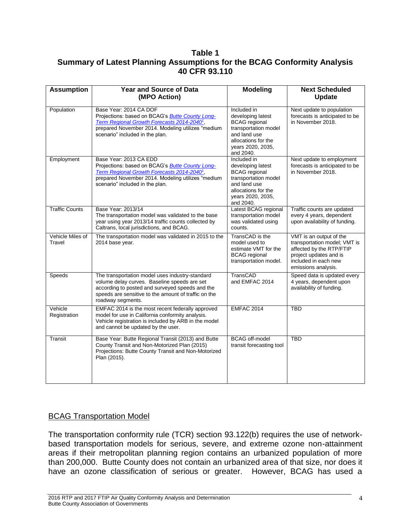# **Table 1 Summary of Latest Planning Assumptions for the BCAG Conformity Analysis 40 CFR 93.110**

| <b>Assumption</b>          | <b>Year and Source of Data</b><br>(MPO Action)                                                                                                                                                                                      | <b>Modeling</b>                                                                                                                                           | <b>Next Scheduled</b><br><b>Update</b>                                                                                                                       |
|----------------------------|-------------------------------------------------------------------------------------------------------------------------------------------------------------------------------------------------------------------------------------|-----------------------------------------------------------------------------------------------------------------------------------------------------------|--------------------------------------------------------------------------------------------------------------------------------------------------------------|
| Population                 | Base Year: 2014 CA DOF<br>Projections: based on BCAG's <b>Butte County Long-</b><br>Term Regional Growth Forecasts 2014-2040 <sup>1</sup> ,<br>prepared November 2014. Modeling utilizes "medium<br>scenario" included in the plan. | Included in<br>developing latest<br><b>BCAG</b> regional<br>transportation model<br>and land use<br>allocations for the<br>years 2020, 2035,<br>and 2040. | Next update to population<br>forecasts is anticipated to be<br>in November 2018.                                                                             |
| Employment                 | Base Year: 2013 CA EDD<br>Projections: based on BCAG's <b>Butte County Long-</b><br>Term Regional Growth Forecasts 2014-2040 <sup>1</sup> ,<br>prepared November 2014. Modeling utilizes "medium<br>scenario" included in the plan. | Included in<br>developing latest<br><b>BCAG</b> regional<br>transportation model<br>and land use<br>allocations for the<br>years 2020, 2035,<br>and 2040. | Next update to employment<br>forecasts is anticipated to be<br>in November 2018.                                                                             |
| <b>Traffic Counts</b>      | Base Year: 2013/14<br>The transportation model was validated to the base<br>year using year 2013/14 traffic counts collected by<br>Caltrans, local jurisdictions, and BCAG.                                                         | Latest BCAG regional<br>transportation model<br>was validated using<br>counts.                                                                            | Traffic counts are updated<br>every 4 years, dependent<br>upon availability of funding.                                                                      |
| Vehicle Miles of<br>Travel | The transportation model was validated in 2015 to the<br>2014 base year.                                                                                                                                                            | TransCAD is the<br>model used to<br>estimate VMT for the<br><b>BCAG</b> regional<br>transportation model.                                                 | VMT is an output of the<br>transportation model; VMT is<br>affected by the RTP/FTIP<br>project updates and is<br>included in each new<br>emissions analysis. |
| Speeds                     | The transportation model uses industry-standard<br>volume delay curves. Baseline speeds are set<br>according to posted and surveyed speeds and the<br>speeds are sensitive to the amount of traffic on the<br>roadway segments.     | TransCAD<br>and EMFAC 2014                                                                                                                                | Speed data is updated every<br>4 years, dependent upon<br>availability of funding.                                                                           |
| Vehicle<br>Registration    | EMFAC 2014 is the most recent federally approved<br>model for use in California conformity analysis.<br>Vehicle registration is included by ARB in the model<br>and cannot be updated by the user.                                  | <b>EMFAC 2014</b>                                                                                                                                         | <b>TBD</b>                                                                                                                                                   |
| Transit                    | Base Year: Butte Regional Transit (2013) and Butte<br>County Transit and Non-Motorized Plan (2015)<br>Projections: Butte County Transit and Non-Motorized<br>Plan (2015).                                                           | <b>BCAG</b> off-model<br>transit forecasting tool                                                                                                         | <b>TBD</b>                                                                                                                                                   |

# BCAG Transportation Model

The transportation conformity rule (TCR) section 93.122(b) requires the use of networkbased transportation models for serious, severe, and extreme ozone non-attainment areas if their metropolitan planning region contains an urbanized population of more than 200,000. Butte County does not contain an urbanized area of that size, nor does it have an ozone classification of serious or greater. However, BCAG has used a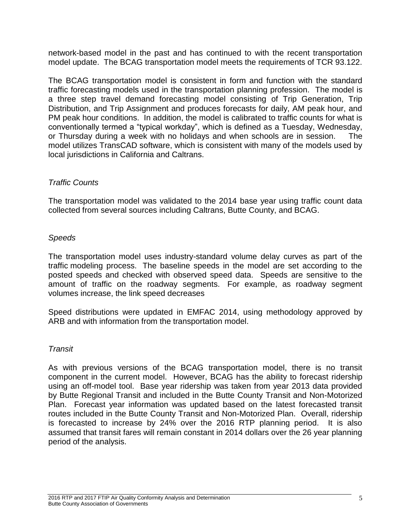network-based model in the past and has continued to with the recent transportation model update. The BCAG transportation model meets the requirements of TCR 93.122.

The BCAG transportation model is consistent in form and function with the standard traffic forecasting models used in the transportation planning profession. The model is a three step travel demand forecasting model consisting of Trip Generation, Trip Distribution, and Trip Assignment and produces forecasts for daily, AM peak hour, and PM peak hour conditions. In addition, the model is calibrated to traffic counts for what is conventionally termed a "typical workday", which is defined as a Tuesday, Wednesday, or Thursday during a week with no holidays and when schools are in session. The model utilizes TransCAD software, which is consistent with many of the models used by local jurisdictions in California and Caltrans.

# *Traffic Counts*

The transportation model was validated to the 2014 base year using traffic count data collected from several sources including Caltrans, Butte County, and BCAG.

# *Speeds*

The transportation model uses industry-standard volume delay curves as part of the traffic modeling process. The baseline speeds in the model are set according to the posted speeds and checked with observed speed data. Speeds are sensitive to the amount of traffic on the roadway segments. For example, as roadway segment volumes increase, the link speed decreases

Speed distributions were updated in EMFAC 2014, using methodology approved by ARB and with information from the transportation model.

# *Transit*

As with previous versions of the BCAG transportation model, there is no transit component in the current model. However, BCAG has the ability to forecast ridership using an off-model tool. Base year ridership was taken from year 2013 data provided by Butte Regional Transit and included in the Butte County Transit and Non-Motorized Plan. Forecast year information was updated based on the latest forecasted transit routes included in the Butte County Transit and Non-Motorized Plan. Overall, ridership is forecasted to increase by 24% over the 2016 RTP planning period. It is also assumed that transit fares will remain constant in 2014 dollars over the 26 year planning period of the analysis.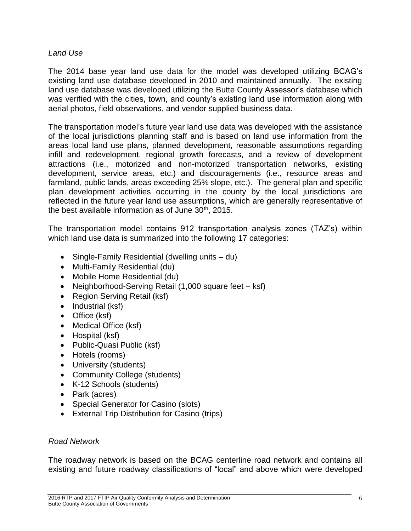# *Land Use*

The 2014 base year land use data for the model was developed utilizing BCAG's existing land use database developed in 2010 and maintained annually. The existing land use database was developed utilizing the Butte County Assessor's database which was verified with the cities, town, and county's existing land use information along with aerial photos, field observations, and vendor supplied business data.

The transportation model's future year land use data was developed with the assistance of the local jurisdictions planning staff and is based on land use information from the areas local land use plans, planned development, reasonable assumptions regarding infill and redevelopment, regional growth forecasts, and a review of development attractions (i.e., motorized and non-motorized transportation networks, existing development, service areas, etc.) and discouragements (i.e., resource areas and farmland, public lands, areas exceeding 25% slope, etc.). The general plan and specific plan development activities occurring in the county by the local jurisdictions are reflected in the future year land use assumptions, which are generally representative of the best available information as of June 30<sup>th</sup>, 2015.

The transportation model contains 912 transportation analysis zones (TAZ's) within which land use data is summarized into the following 17 categories:

- Single-Family Residential (dwelling units du)
- Multi-Family Residential (du)
- Mobile Home Residential (du)
- Neighborhood-Serving Retail (1,000 square feet ksf)
- Region Serving Retail (ksf)
- $\bullet$  Industrial (ksf)
- Office (ksf)
- Medical Office (ksf)
- Hospital (ksf)
- Public-Quasi Public (ksf)
- Hotels (rooms)
- University (students)
- Community College (students)
- K-12 Schools (students)
- Park (acres)
- Special Generator for Casino (slots)
- External Trip Distribution for Casino (trips)

# *Road Network*

The roadway network is based on the BCAG centerline road network and contains all existing and future roadway classifications of "local" and above which were developed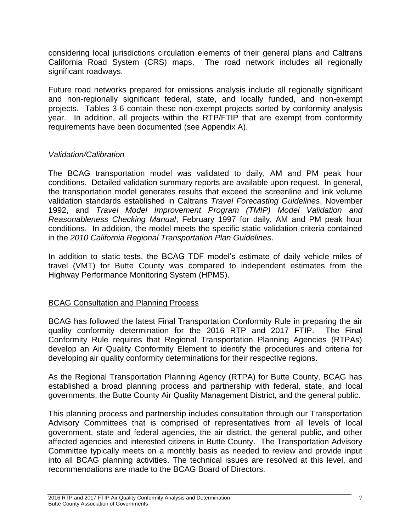considering local jurisdictions circulation elements of their general plans and Caltrans California Road System (CRS) maps. The road network includes all regionally significant roadways.

Future road networks prepared for emissions analysis include all regionally significant and non-regionally significant federal, state, and locally funded, and non-exempt projects. Tables 3-6 contain these non-exempt projects sorted by conformity analysis year. In addition, all projects within the RTP/FTIP that are exempt from conformity requirements have been documented (see Appendix A).

# *Validation/Calibration*

The BCAG transportation model was validated to daily, AM and PM peak hour conditions. Detailed validation summary reports are available upon request. In general, the transportation model generates results that exceed the screenline and link volume validation standards established in Caltrans *Travel Forecasting Guidelines*, November 1992, and *Travel Model Improvement Program (TMIP) Model Validation and Reasonableness Checking Manual*, February 1997 for daily, AM and PM peak hour conditions. In addition, the model meets the specific static validation criteria contained in the *2010 California Regional Transportation Plan Guidelines*.

In addition to static tests, the BCAG TDF model's estimate of daily vehicle miles of travel (VMT) for Butte County was compared to independent estimates from the Highway Performance Monitoring System (HPMS).

# BCAG Consultation and Planning Process

BCAG has followed the latest Final Transportation Conformity Rule in preparing the air quality conformity determination for the 2016 RTP and 2017 FTIP. The Final Conformity Rule requires that Regional Transportation Planning Agencies (RTPAs) develop an Air Quality Conformity Element to identify the procedures and criteria for developing air quality conformity determinations for their respective regions.

As the Regional Transportation Planning Agency (RTPA) for Butte County, BCAG has established a broad planning process and partnership with federal, state, and local governments, the Butte County Air Quality Management District, and the general public.

This planning process and partnership includes consultation through our Transportation Advisory Committees that is comprised of representatives from all levels of local government, state and federal agencies, the air district, the general public, and other affected agencies and interested citizens in Butte County. The Transportation Advisory Committee typically meets on a monthly basis as needed to review and provide input into all BCAG planning activities. The technical issues are resolved at this level, and recommendations are made to the BCAG Board of Directors.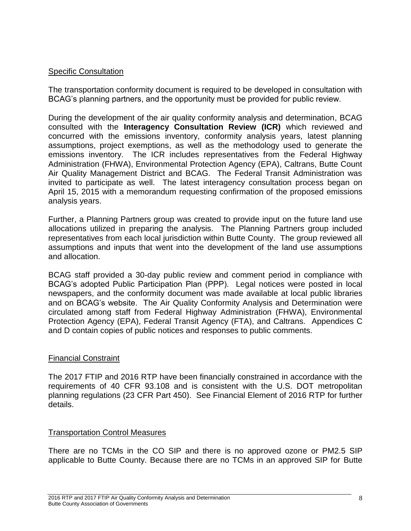# Specific Consultation

The transportation conformity document is required to be developed in consultation with BCAG's planning partners, and the opportunity must be provided for public review.

During the development of the air quality conformity analysis and determination, BCAG consulted with the **Interagency Consultation Review (ICR)** which reviewed and concurred with the emissions inventory, conformity analysis years, latest planning assumptions, project exemptions, as well as the methodology used to generate the emissions inventory. The ICR includes representatives from the Federal Highway Administration (FHWA), Environmental Protection Agency (EPA), Caltrans, Butte Count Air Quality Management District and BCAG. The Federal Transit Administration was invited to participate as well. The latest interagency consultation process began on April 15, 2015 with a memorandum requesting confirmation of the proposed emissions analysis years.

Further, a Planning Partners group was created to provide input on the future land use allocations utilized in preparing the analysis. The Planning Partners group included representatives from each local jurisdiction within Butte County. The group reviewed all assumptions and inputs that went into the development of the land use assumptions and allocation.

BCAG staff provided a 30-day public review and comment period in compliance with BCAG's adopted Public Participation Plan (PPP). Legal notices were posted in local newspapers, and the conformity document was made available at local public libraries and on BCAG's website. The Air Quality Conformity Analysis and Determination were circulated among staff from Federal Highway Administration (FHWA), Environmental Protection Agency (EPA), Federal Transit Agency (FTA), and Caltrans. Appendices C and D contain copies of public notices and responses to public comments.

# Financial Constraint

The 2017 FTIP and 2016 RTP have been financially constrained in accordance with the requirements of 40 CFR 93.108 and is consistent with the U.S. DOT metropolitan planning regulations (23 CFR Part 450). See Financial Element of 2016 RTP for further details.

# Transportation Control Measures

There are no TCMs in the CO SIP and there is no approved ozone or PM2.5 SIP applicable to Butte County. Because there are no TCMs in an approved SIP for Butte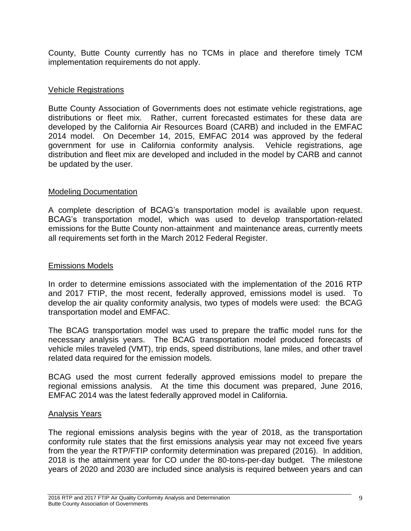County, Butte County currently has no TCMs in place and therefore timely TCM implementation requirements do not apply.

# Vehicle Registrations

Butte County Association of Governments does not estimate vehicle registrations, age distributions or fleet mix. Rather, current forecasted estimates for these data are developed by the California Air Resources Board (CARB) and included in the EMFAC 2014 model. On December 14, 2015, EMFAC 2014 was approved by the federal government for use in California conformity analysis. Vehicle registrations, age distribution and fleet mix are developed and included in the model by CARB and cannot be updated by the user.

# Modeling Documentation

A complete description of BCAG's transportation model is available upon request. BCAG's transportation model, which was used to develop transportation-related emissions for the Butte County non-attainment and maintenance areas, currently meets all requirements set forth in the March 2012 Federal Register.

# Emissions Models

In order to determine emissions associated with the implementation of the 2016 RTP and 2017 FTIP, the most recent, federally approved, emissions model is used. To develop the air quality conformity analysis, two types of models were used: the BCAG transportation model and EMFAC.

The BCAG transportation model was used to prepare the traffic model runs for the necessary analysis years. The BCAG transportation model produced forecasts of vehicle miles traveled (VMT), trip ends, speed distributions, lane miles, and other travel related data required for the emission models.

BCAG used the most current federally approved emissions model to prepare the regional emissions analysis. At the time this document was prepared, June 2016, EMFAC 2014 was the latest federally approved model in California.

# Analysis Years

The regional emissions analysis begins with the year of 2018, as the transportation conformity rule states that the first emissions analysis year may not exceed five years from the year the RTP/FTIP conformity determination was prepared (2016). In addition, 2018 is the attainment year for CO under the 80-tons-per-day budget. The milestone years of 2020 and 2030 are included since analysis is required between years and can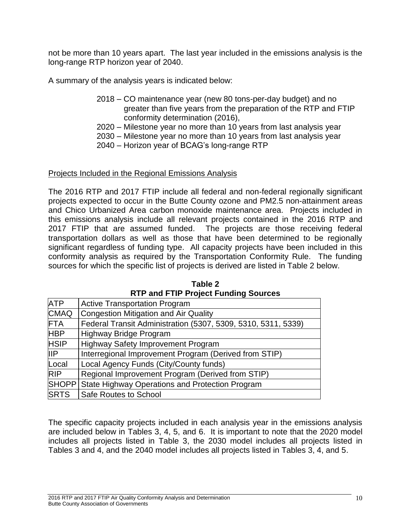not be more than 10 years apart. The last year included in the emissions analysis is the long-range RTP horizon year of 2040.

A summary of the analysis years is indicated below:

- 2018 CO maintenance year (new 80 tons-per-day budget) and no greater than five years from the preparation of the RTP and FTIP conformity determination (2016),
- 2020 Milestone year no more than 10 years from last analysis year
- 2030 Milestone year no more than 10 years from last analysis year
- 2040 Horizon year of BCAG's long-range RTP

# Projects Included in the Regional Emissions Analysis

The 2016 RTP and 2017 FTIP include all federal and non-federal regionally significant projects expected to occur in the Butte County ozone and PM2.5 non-attainment areas and Chico Urbanized Area carbon monoxide maintenance area. Projects included in this emissions analysis include all relevant projects contained in the 2016 RTP and 2017 FTIP that are assumed funded. The projects are those receiving federal transportation dollars as well as those that have been determined to be regionally significant regardless of funding type. All capacity projects have been included in this conformity analysis as required by the Transportation Conformity Rule. The funding sources for which the specific list of projects is derived are listed in Table 2 below.

| <b>ATP</b>  | <b>Active Transportation Program</b>                          |
|-------------|---------------------------------------------------------------|
| <b>CMAQ</b> | <b>Congestion Mitigation and Air Quality</b>                  |
| <b>FTA</b>  | Federal Transit Administration (5307, 5309, 5310, 5311, 5339) |
| <b>HBP</b>  | Highway Bridge Program                                        |
| <b>HSIP</b> | Highway Safety Improvement Program                            |
| IIIP        | Interregional Improvement Program (Derived from STIP)         |
| Local       | Local Agency Funds (City/County funds)                        |
| <b>RIP</b>  | Regional Improvement Program (Derived from STIP)              |
|             | SHOPP State Highway Operations and Protection Program         |
| <b>SRTS</b> | Safe Routes to School                                         |

**Table 2 RTP and FTIP Project Funding Sources**

The specific capacity projects included in each analysis year in the emissions analysis are included below in Tables 3, 4, 5, and 6. It is important to note that the 2020 model includes all projects listed in Table 3, the 2030 model includes all projects listed in Tables 3 and 4, and the 2040 model includes all projects listed in Tables 3, 4, and 5.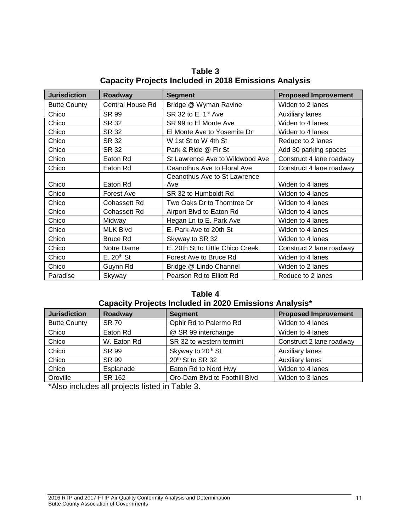| <b>Jurisdiction</b> | Roadway             | <b>Segment</b>                   | <b>Proposed Improvement</b> |
|---------------------|---------------------|----------------------------------|-----------------------------|
| <b>Butte County</b> | Central House Rd    | Bridge @ Wyman Ravine            | Widen to 2 lanes            |
| Chico               | SR 99               | SR 32 to E. 1 <sup>st</sup> Ave  | <b>Auxiliary lanes</b>      |
| Chico               | SR 32               | SR 99 to El Monte Ave            | Widen to 4 lanes            |
| Chico               | SR 32               | El Monte Ave to Yosemite Dr      | Widen to 4 lanes            |
| Chico               | SR 32               | W 1st St to W 4th St             | Reduce to 2 lanes           |
| Chico               | SR 32               | Park & Ride @ Fir St             | Add 30 parking spaces       |
| Chico               | Eaton Rd            | St Lawrence Ave to Wildwood Ave  | Construct 4 lane roadway    |
| Chico               | Eaton Rd            | Ceanothus Ave to Floral Ave      | Construct 4 lane roadway    |
|                     |                     | Ceanothus Ave to St Lawrence     |                             |
| Chico               | Eaton Rd            | Ave                              | Widen to 4 lanes            |
| Chico               | Forest Ave          | SR 32 to Humboldt Rd             | Widen to 4 lanes            |
| Chico               | <b>Cohassett Rd</b> | Two Oaks Dr to Thorntree Dr      | Widen to 4 lanes            |
| Chico               | <b>Cohassett Rd</b> | Airport Blvd to Eaton Rd         | Widen to 4 lanes            |
| Chico               | Midway              | Hegan Ln to E. Park Ave          | Widen to 4 lanes            |
| Chico               | <b>MLK Blvd</b>     | E. Park Ave to 20th St           | Widen to 4 lanes            |
| Chico               | <b>Bruce Rd</b>     | Skyway to SR 32                  | Widen to 4 lanes            |
| Chico               | Notre Dame          | E. 20th St to Little Chico Creek | Construct 2 lane roadway    |
| Chico               | $E. 20th$ St        | Forest Ave to Bruce Rd           | Widen to 4 lanes            |
| Chico               | Guynn Rd            | Bridge @ Lindo Channel           | Widen to 2 lanes            |
| Paradise            | Skyway              | Pearson Rd to Elliott Rd         | Reduce to 2 lanes           |

**Table 3 Capacity Projects Included in 2018 Emissions Analysis**

#### **Table 4 Capacity Projects Included in 2020 Emissions Analysis\***

| <b>Jurisdiction</b> | Roadway      | <b>Segment</b>                | <b>Proposed Improvement</b> |
|---------------------|--------------|-------------------------------|-----------------------------|
| <b>Butte County</b> | <b>SR 70</b> | Ophir Rd to Palermo Rd        | Widen to 4 lanes            |
| Chico               | Eaton Rd     | @ SR 99 interchange           | Widen to 4 lanes            |
| Chico               | W. Eaton Rd  | SR 32 to western termini      | Construct 2 lane roadway    |
| Chico               | SR 99        | Skyway to 20th St             | <b>Auxiliary lanes</b>      |
| Chico               | SR 99        | 20th St to SR 32              | <b>Auxiliary lanes</b>      |
| Chico               | Esplanade    | Eaton Rd to Nord Hwy          | Widen to 4 lanes            |
| Oroville            | SR 162       | Oro-Dam Blvd to Foothill Blvd | Widen to 3 lanes            |

\*Also includes all projects listed in Table 3.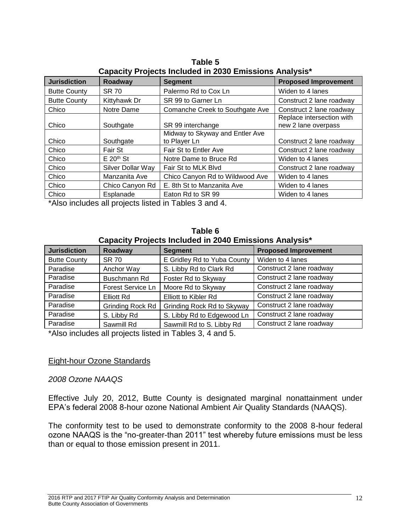| <u> capacity i rejecto moladod in 2000 Emilocrono Amaryolo</u> |                   |                                 |                             |
|----------------------------------------------------------------|-------------------|---------------------------------|-----------------------------|
| <b>Jurisdiction</b>                                            | Roadway           | <b>Segment</b>                  | <b>Proposed Improvement</b> |
| <b>Butte County</b>                                            | <b>SR 70</b>      | Palermo Rd to Cox Ln            | Widen to 4 lanes            |
| <b>Butte County</b>                                            | Kittyhawk Dr      | SR 99 to Garner Ln              | Construct 2 lane roadway    |
| Chico                                                          | Notre Dame        | Comanche Creek to Southgate Ave | Construct 2 lane roadway    |
|                                                                |                   |                                 | Replace intersection with   |
| Chico                                                          | Southgate         | SR 99 interchange               | new 2 lane overpass         |
|                                                                |                   | Midway to Skyway and Entler Ave |                             |
| Chico                                                          | Southgate         | to Player Ln                    | Construct 2 lane roadway    |
| Chico                                                          | Fair St           | Fair St to Entler Ave           | Construct 2 lane roadway    |
| Chico                                                          | $E 20th$ St       | Notre Dame to Bruce Rd          | Widen to 4 lanes            |
| Chico                                                          | Silver Dollar Way | Fair St to MLK Blvd             | Construct 2 lane roadway    |
| Chico                                                          | Manzanita Ave     | Chico Canyon Rd to Wildwood Ave | Widen to 4 lanes            |
| Chico                                                          | Chico Canyon Rd   | E. 8th St to Manzanita Ave      | Widen to 4 lanes            |
| Chico                                                          | Esplanade         | Eaton Rd to SR 99               | Widen to 4 lanes            |

**Table 5 Capacity Projects Included in 2030 Emissions Analysis\***

\*Also includes all projects listed in Tables 3 and 4.

|  |  | Table 6 |                                                        |  |
|--|--|---------|--------------------------------------------------------|--|
|  |  |         | Capacity Projects Included in 2040 Emissions Analysis* |  |

| <b>Jurisdiction</b> | Roadway                 | <b>Segment</b>              | <b>Proposed Improvement</b> |
|---------------------|-------------------------|-----------------------------|-----------------------------|
| <b>Butte County</b> | <b>SR 70</b>            | E Gridley Rd to Yuba County | Widen to 4 lanes            |
| Paradise            | Anchor Way              | S. Libby Rd to Clark Rd     | Construct 2 lane roadway    |
| Paradise            | Buschmann Rd            | Foster Rd to Skyway         | Construct 2 lane roadway    |
| Paradise            | Forest Service Ln       | Moore Rd to Skyway          | Construct 2 lane roadway    |
| Paradise            | Elliott Rd              | <b>Elliott to Kibler Rd</b> | Construct 2 lane roadway    |
| Paradise            | <b>Grinding Rock Rd</b> | Grinding Rock Rd to Skyway  | Construct 2 lane roadway    |
| Paradise            | S. Libby Rd             | S. Libby Rd to Edgewood Ln  | Construct 2 lane roadway    |
| Paradise            | Sawmill Rd              | Sawmill Rd to S. Libby Rd   | Construct 2 lane roadway    |

\*Also includes all projects listed in Tables 3, 4 and 5.

# Eight-hour Ozone Standards

*2008 Ozone NAAQS*

Effective July 20, 2012, Butte County is designated marginal nonattainment under EPA's federal 2008 8-hour ozone National Ambient Air Quality Standards (NAAQS).

The conformity test to be used to demonstrate conformity to the 2008 8-hour federal ozone NAAQS is the "no-greater-than 2011" test whereby future emissions must be less than or equal to those emission present in 2011.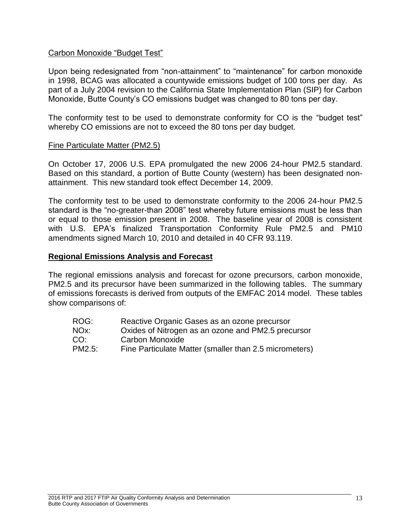# Carbon Monoxide "Budget Test"

Upon being redesignated from "non-attainment" to "maintenance" for carbon monoxide in 1998, BCAG was allocated a countywide emissions budget of 100 tons per day. As part of a July 2004 revision to the California State Implementation Plan (SIP) for Carbon Monoxide, Butte County's CO emissions budget was changed to 80 tons per day.

The conformity test to be used to demonstrate conformity for CO is the "budget test" whereby CO emissions are not to exceed the 80 tons per day budget.

#### Fine Particulate Matter (PM2.5)

On October 17, 2006 U.S. EPA promulgated the new 2006 24-hour PM2.5 standard. Based on this standard, a portion of Butte County (western) has been designated nonattainment. This new standard took effect December 14, 2009.

The conformity test to be used to demonstrate conformity to the 2006 24-hour PM2.5 standard is the "no-greater-than 2008" test whereby future emissions must be less than or equal to those emission present in 2008. The baseline year of 2008 is consistent with U.S. EPA's finalized Transportation Conformity Rule PM2.5 and PM10 amendments signed March 10, 2010 and detailed in 40 CFR 93.119.

#### <span id="page-16-0"></span>**Regional Emissions Analysis and Forecast**

The regional emissions analysis and forecast for ozone precursors, carbon monoxide, PM2.5 and its precursor have been summarized in the following tables. The summary of emissions forecasts is derived from outputs of the EMFAC 2014 model. These tables show comparisons of:

- ROG: Reactive Organic Gases as an ozone precursor
- NOx: Oxides of Nitrogen as an ozone and PM2.5 precursor
- CO: Carbon Monoxide
- PM2.5: Fine Particulate Matter (smaller than 2.5 micrometers)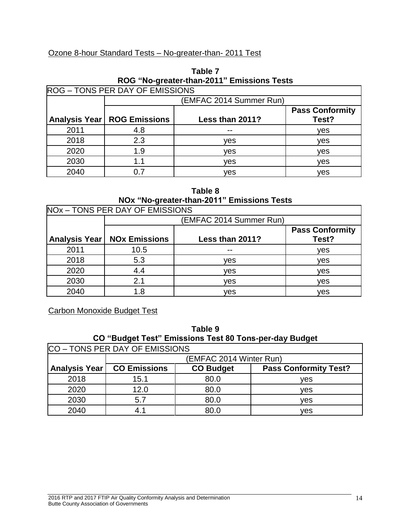# Ozone 8-hour Standard Tests – No-greater-than- 2011 Test

|      |                                      | $100$ $10$ $90$ $500$ $100$ $100$ $100$ $100$ $100$ |                                 |
|------|--------------------------------------|-----------------------------------------------------|---------------------------------|
|      | ROG - TONS PER DAY OF EMISSIONS      |                                                     |                                 |
|      |                                      | (EMFAC 2014 Summer Run)                             |                                 |
|      | <b>Analysis Year   ROG Emissions</b> | Less than 2011?                                     | <b>Pass Conformity</b><br>Test? |
| 2011 | 4.8                                  |                                                     | ves                             |
| 2018 | 2.3                                  | ves                                                 | ves                             |
| 2020 | 1.9                                  | ves                                                 | ves                             |
| 2030 | 1.1                                  | ves                                                 | ves                             |
| 2040 | 0.7                                  | ves                                                 | ves                             |

# **Table 7 ROG "No-greater-than-2011" Emissions Tests**

# **Table 8 NOx "No-greater-than-2011" Emissions Tests**

|      | NOx - TONS PER DAY OF EMISSIONS      |                         |                                 |
|------|--------------------------------------|-------------------------|---------------------------------|
|      |                                      | (EMFAC 2014 Summer Run) |                                 |
|      | <b>Analysis Year   NOx Emissions</b> | Less than 2011?         | <b>Pass Conformity</b><br>Test? |
| 2011 | 10.5                                 | --                      | ves                             |
| 2018 | 5.3                                  | ves                     | ves                             |
| 2020 | 4.4                                  | ves                     | ves                             |
| 2030 | 2.1                                  | ves                     | ves                             |
| 2040 | 1.8                                  | ves                     | ves                             |

Carbon Monoxide Budget Test

| Table 9                                                |
|--------------------------------------------------------|
| CO "Budget Test" Emissions Test 80 Tons-per-day Budget |
| $\overline{10}$ DED BAY OF FULOCIOUS                   |

| ICO – TONS PER DAY OF EMISSIONS |                     |                         |                              |  |  |  |  |
|---------------------------------|---------------------|-------------------------|------------------------------|--|--|--|--|
|                                 |                     | (EMFAC 2014 Winter Run) |                              |  |  |  |  |
| Analysis Year                   | <b>CO Emissions</b> | <b>CO Budget</b>        | <b>Pass Conformity Test?</b> |  |  |  |  |
| 2018                            | 15.1                | 80.0                    | ves                          |  |  |  |  |
| 2020                            | 12.0                | 80.0                    | ves                          |  |  |  |  |
| 2030                            | 5.7                 | 80.0                    | ves                          |  |  |  |  |
| 2040                            | 4.1                 | 80.0                    | ves                          |  |  |  |  |

٦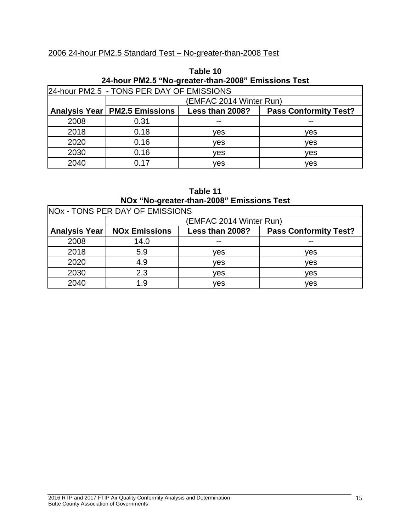# 2006 24-hour PM2.5 Standard Test – No-greater-than-2008 Test

| 24-hour PM2.5 "No-greater-than-2008" Emissions Test |                                                                                    |                         |     |  |  |  |  |  |  |
|-----------------------------------------------------|------------------------------------------------------------------------------------|-------------------------|-----|--|--|--|--|--|--|
|                                                     | 24-hour PM2.5 - TONS PER DAY OF EMISSIONS                                          |                         |     |  |  |  |  |  |  |
|                                                     |                                                                                    | (EMFAC 2014 Winter Run) |     |  |  |  |  |  |  |
|                                                     | Analysis Year   PM2.5 Emissions<br><b>Pass Conformity Test?</b><br>Less than 2008? |                         |     |  |  |  |  |  |  |
| 2008                                                | 0.31                                                                               | --                      | --  |  |  |  |  |  |  |
| 2018                                                | 0.18                                                                               | ves                     | ves |  |  |  |  |  |  |
| 2020                                                | 0.16                                                                               | ves                     | ves |  |  |  |  |  |  |
| 2030                                                | 0.16                                                                               | ves                     | ves |  |  |  |  |  |  |
| 2040                                                | 0.17                                                                               | ves                     | ves |  |  |  |  |  |  |

| Table 10                                            |  |
|-----------------------------------------------------|--|
| 24-hour PM2.5 "No-greater-than-2008" Emissions Test |  |

| Table 11                                  |  |
|-------------------------------------------|--|
| NOx "No-greater-than-2008" Emissions Test |  |

| NO <sub>x</sub> - TONS PER DAY OF EMISSIONS |                      |                         |                              |  |  |  |  |
|---------------------------------------------|----------------------|-------------------------|------------------------------|--|--|--|--|
|                                             |                      | (EMFAC 2014 Winter Run) |                              |  |  |  |  |
| Analysis Year                               | <b>NOx Emissions</b> | Less than 2008?         | <b>Pass Conformity Test?</b> |  |  |  |  |
| 2008                                        | 14.0                 | $-$                     | $- -$                        |  |  |  |  |
| 2018                                        | 5.9                  | ves                     | ves                          |  |  |  |  |
| 2020                                        | 4.9                  | ves                     | ves                          |  |  |  |  |
| 2030                                        | 2.3                  | ves                     | ves                          |  |  |  |  |
| 2040                                        | 1.9                  | ves                     | ves                          |  |  |  |  |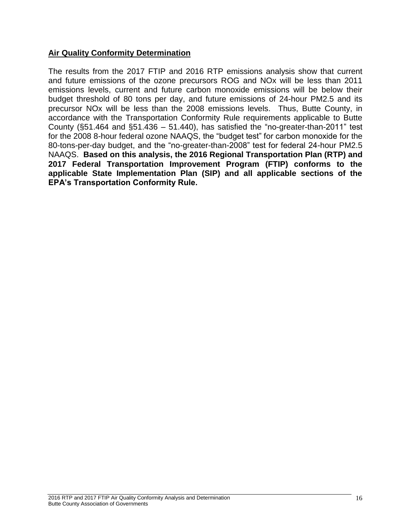# <span id="page-19-0"></span>**Air Quality Conformity Determination**

The results from the 2017 FTIP and 2016 RTP emissions analysis show that current and future emissions of the ozone precursors ROG and NOx will be less than 2011 emissions levels, current and future carbon monoxide emissions will be below their budget threshold of 80 tons per day, and future emissions of 24-hour PM2.5 and its precursor NOx will be less than the 2008 emissions levels. Thus, Butte County, in accordance with the Transportation Conformity Rule requirements applicable to Butte County  $(\S 51.464$  and  $\S 51.436 - 51.440)$ , has satisfied the "no-greater-than-2011" test for the 2008 8-hour federal ozone NAAQS, the "budget test" for carbon monoxide for the 80-tons-per-day budget, and the "no-greater-than-2008" test for federal 24-hour PM2.5 NAAQS. **Based on this analysis, the 2016 Regional Transportation Plan (RTP) and 2017 Federal Transportation Improvement Program (FTIP) conforms to the applicable State Implementation Plan (SIP) and all applicable sections of the EPA's Transportation Conformity Rule.**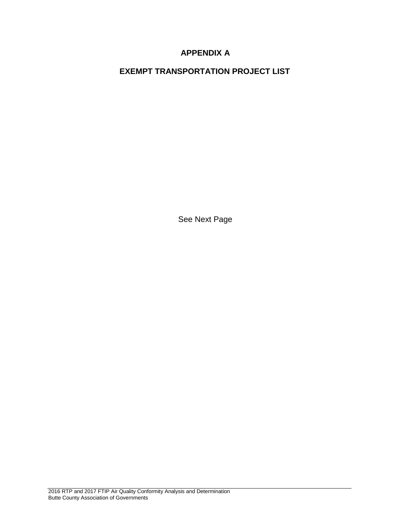# **APPENDIX A**

**EXEMPT TRANSPORTATION PROJECT LIST**

See Next Page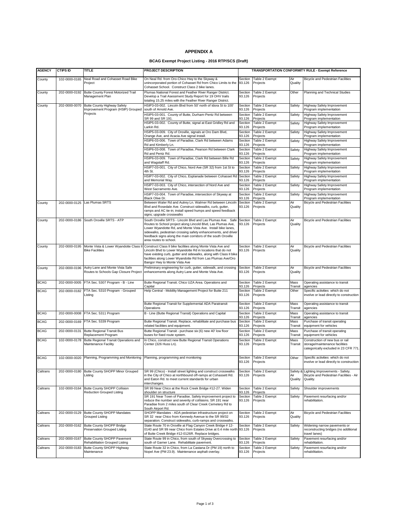#### **APPENDIX A**

#### **BCAG Exempt Project Listing - 2016 RTP/SCS (Draft)**

| <b>AGENCY</b> | <b>CTIPS ID</b> | TITLE                                                                         | PROJECT DESCRIPTION                                                                                                                                                                                                                                                                                                                                      |                   |                            |                            | TRANSPORTATION CONFORMITY RULE - Exempt Reference                                                          |
|---------------|-----------------|-------------------------------------------------------------------------------|----------------------------------------------------------------------------------------------------------------------------------------------------------------------------------------------------------------------------------------------------------------------------------------------------------------------------------------------------------|-------------------|----------------------------|----------------------------|------------------------------------------------------------------------------------------------------------|
| County        | 102-0000-0165   | Neal Road and Cohasset Road Bike<br>Project                                   | On Neal Rd. from Oro-Chico Hwy to the Skyway &<br>unincorporated portion of Cohasset Rd from Chico Limits to the<br>Cohasset School. Construct Class 2 bike lanes.                                                                                                                                                                                       | Section<br>93.126 | Table 2 Exempt<br>Projects | Air<br>Quality             | <b>Bicycle and Pedestrian Facilities</b>                                                                   |
| County        | 202-0000-0192   | Butte County Forest Motorized Trail<br>Management Plan                        | Plumas National Forest and Feather River Ranger District.<br>Develop a Trail Asessment Study Report for 19 OHV trails<br>totaling 15.25 miles with the Feather River Ranger District.                                                                                                                                                                    | Section<br>93.126 | Table 2 Exempt<br>Projects | Other                      | Planning and Technical Studies                                                                             |
| County        | 202-0000-0070   | Butte County Highway Safety<br>Improvement Program (HSIP) Grouped             | HSIP3-03-002. Lincoln Blyd from 50' north of Idora St to 100'<br>south of Arnold Ave.                                                                                                                                                                                                                                                                    | Section<br>93.126 | Table 2 Exempt<br>Projects | Safety                     | Highway Safety Improvement<br>Program implementation                                                       |
|               |                 | Projects                                                                      | HSIP5-03-001. County of Butte, Durham-Pentz Rd between<br>SR 99 and SR 191.                                                                                                                                                                                                                                                                              | Section<br>93.126 | Table 2 Exempt<br>Projects | Safety                     | Highway Safety Improvement<br>Program implementation                                                       |
|               |                 |                                                                               | HSIP5-03-002. County of Butte, signal at East Gridley Rd and<br>Larkin Rd.                                                                                                                                                                                                                                                                               | Section<br>93.126 | Table 2 Exempt<br>Projects | Safety                     | Highway Safety Improvement<br>Program implementation                                                       |
|               |                 |                                                                               | HSIP5-03-009. City of Oroville, signals at Oro Dam Blvd,<br>Orange Ave, and Acacia Ave signal install.                                                                                                                                                                                                                                                   | Section<br>93.126 | Table 2 Exempt<br>Projects | Safety                     | Highway Safety Improvement<br>Program implementation                                                       |
|               |                 |                                                                               | HSIP6-03-006. Town of Paradise, Clark Rd between Adams<br>Rd and Kimberly Ln.                                                                                                                                                                                                                                                                            | Section<br>93.126 | Table 2 Exempt<br>Projects | Safety                     | Highway Safety Improvement<br>Program implementation                                                       |
|               |                 |                                                                               | HSIP6-03-008. Town of Paradise, Pearson Rd between Clark<br>Rd and Pentz Rd.                                                                                                                                                                                                                                                                             | Section<br>93.126 | Table 2 Exempt<br>Projects | Safety                     | Highway Safety Improvement<br>Program implementation                                                       |
|               |                 |                                                                               | HSIP6-03-009. Town of Paradise, Clark Rd between Bille Rd<br>and Wagstaff Rd.                                                                                                                                                                                                                                                                            | Section<br>93.126 | Table 2 Exempt<br>Projects | Safety                     | Highway Safety Improvement<br>Program implementation                                                       |
|               |                 |                                                                               | HSIP7-03-001. City of Chico, Nord Ave (SR 32) from 1st St to<br>4th St.                                                                                                                                                                                                                                                                                  | Section<br>93.126 | Table 2 Exempt<br>Projects | Safety                     | Highway Safety Improvement<br>Program implementation                                                       |
|               |                 |                                                                               | HSIP7-03-002. City of Chico, Esplanade between Cohasset Rd<br>and Memorial Way.                                                                                                                                                                                                                                                                          | Section<br>93.126 | Table 2 Exempt<br>Projects | Safety                     | Highway Safety Improvement<br>Program implementation                                                       |
|               |                 |                                                                               | HSIP7-03-003. City of Chico, intersection of Nord Ave and                                                                                                                                                                                                                                                                                                | Section<br>93.126 | Table 2 Exempt             | Safety                     | Highway Safety Improvement                                                                                 |
|               |                 |                                                                               | West Sacramento Ave.<br>HSIP7-03-004. Town of Paradise, intersection of Skyway at                                                                                                                                                                                                                                                                        | Section           | Projects<br>Table 2 Exempt | Safety                     | Program implementation<br>Highway Safety Improvement                                                       |
| County        |                 | 202-0000-0125 Las Plumas SRTS                                                 | Black Olive Dr.<br>Between Waler Rd and Autrey Ln. Walmer Rd between Lincoln                                                                                                                                                                                                                                                                             | 93.126<br>Section | Projects<br>Table 2 Exempt | Air                        | Program implementation<br><b>Bicycle and Pedestrian Facilities</b>                                         |
|               |                 |                                                                               | Blvd and Rosedale Ave. Construct sidewalks, curb, gutter,<br>ramps and AC tie-in; install speed humps and speed feedback<br>signs; upgrade crosswalks                                                                                                                                                                                                    | 93.126            | Projects                   | Quality                    |                                                                                                            |
| County        |                 | 202-0000-0186 South Oroville SRTS - ATP                                       | South Oroville SRTS - Lincoln Blvd and Las Plumas Ave. Safe<br>Routes to School project along Lincold Blvd, Las Plumas Ave,<br>Lower Wyandotte Rd, and Monte Vista Ave. Install bike lanes,<br>sidewalks, pedestrian crossing safety enhancements, and driver<br>feedback signs along the main corridors of the south Oroville<br>area routes to school. | Section<br>93.126 | Table 2 Exempt<br>Projects | Air<br>Quality             | <b>Bicycle and Pedestrian Facilities</b>                                                                   |
| County        |                 | 202-0000-0195 Monte Vista & Lower Wyandotte Class I<br><b>Bike Facilities</b> | Construct Class II bike facilities along Monte Vista Ave and<br>Lincoln Blvd to Lower Wyandotte Rd in locations that do not<br>have existing curb, gutter and sidewalks, along with Class II bike<br>facilities along Lower Wyandotte Rd from Las Plumas Ave/Oro<br>Bangor Hwy to Monte Vista Ave                                                        | Section<br>93.126 | Table 2 Exempt<br>Projects | Air<br>Quality             | <b>Bicycle and Pedestrian Facilities</b>                                                                   |
| County        | 202-0000-0196   | Autry Lane and Monte Vista Safe<br>Routes to Schools Gap Closure Project      | Preliminary engineering for curb, gutter, sidewalk, and crossing<br>enhancements along Autry Lane and Monte Vista Ave.                                                                                                                                                                                                                                   | Section<br>93.126 | Table 2 Exempt<br>Projects | Air<br>Quality             | <b>Bicycle and Pedestrian Facilities</b>                                                                   |
| <b>BCAG</b>   |                 | 202-0000-0005 FTA Sec. 5307 Program - B - Line                                | Butte Regional Transit. Chico UZA Area. Operations and<br>Capital                                                                                                                                                                                                                                                                                        | Section<br>93.126 | Table 2 Exempt<br>Projects | Mass<br>Transit            | Operating assistance to transit<br>agencies                                                                |
| <b>BCAG</b>   | 202-0000-0182   | FTA Sec. 5310 Program - Grouped<br>Listing                                    | Help Central - Mobility Management Project for Butte 211                                                                                                                                                                                                                                                                                                 | Section<br>93.126 | Table 2 Exempt<br>Projects | Other                      | Specific activities which do not<br>involve or lead directly to construction                               |
|               |                 |                                                                               | Butte Regional Transit for Supplemental ADA Paratransit<br>Operations                                                                                                                                                                                                                                                                                    | Section<br>93.126 | Table 2 Exempt<br>Projects | Mass<br>Transit            | Operating assistance to transit<br>agencies                                                                |
| <b>BCAG</b>   |                 | 202-0000-0008 FTA Sec. 5311 Program                                           | B - Line (Butte Regional Transit) Operations and Capital                                                                                                                                                                                                                                                                                                 | Section<br>93.126 | Table 2 Exempt<br>Projects | Mass<br>Transit            | Operating assistance to transit<br>agencies                                                                |
| <b>BCAG</b>   |                 | 202-0000-0169 FTA Sec. 5339 Program                                           | Butte Regional Transit. Replace, rehabilitate and purchase bus<br>related facilities and equipment.                                                                                                                                                                                                                                                      | Section<br>93.126 | Table 2 Exempt<br>Projects | Mass<br>Transit            | Purchase of transit operating<br>equipment for vehicles                                                    |
| <b>BCAG</b>   | 202-0000-0131   | <b>Butte Regional Transit Bus</b><br>Replacement Program                      | Butte Regional Transit - purchase six (6) new 40' low floor<br>buses for fixed route system.                                                                                                                                                                                                                                                             | Section<br>93.126 | Table 2 Exempt<br>Projects | Mass<br>Transit            | Purchase of transit operating<br>equipment for vehicles                                                    |
| <b>BCAG</b>   | 102-0000-0178   | Butte Regional Transit Operations and<br>Maintenance Facility                 | In Chico, construct new Butte Regional Transit Operations<br>Center (326 Huss Ln).                                                                                                                                                                                                                                                                       | Section<br>93.126 | Table 2 Exempt<br>Projects | Mass<br>Transit            | Construction of new bus or rail<br>storage/maintenance facilities<br>categorically excluded in 23 CFR 771. |
| <b>BCAG</b>   | 102-0000-0020   | Planning, Programming and Monitoring                                          | Planning, programming and monitoring                                                                                                                                                                                                                                                                                                                     | Section<br>93.126 | Table 2 Exempt<br>Projects | Other                      | Specific activities which do not<br>involve or lead directly to construction                               |
| Caltrans      | 202-0000-0180   | Butte County SHOPP Minor Grouped<br>Listing                                   | SR 99 (Chico) - Install street lighting and construct crosswalks<br>in the City of Chico at northbound off-ramps at Cohassett Rd.<br>and Eaton Rd. to meet current standards for urban<br>interchanges.                                                                                                                                                  | Section<br>93.126 | Table 2 Exempt<br>Projects | Safety &<br>Air<br>Quality | Lighting Improvements - Safety.<br>Bicycle and Pedestrian Facilities - Air<br>Quality.                     |
| Caltrans      | 102-0000-0164   | Butte County SHOPP Collision<br>Reduction Grouped Listing                     | SR 99 Near Chico at the Rock Creek Bridge #12-27. Widen<br>shoulder on structure                                                                                                                                                                                                                                                                         | Section<br>93.126 | Table 2 Exempt<br>Projects | Safety                     | Shoulder improvements                                                                                      |
|               |                 |                                                                               | SR 191 Near Town of Paradise. Safety improvement project to<br>reduce the number and severity of collisions. SR 191 near<br>Paradise from 2 miles south of Clear Creek Cemetery Rd to<br>South Airport Rd.                                                                                                                                               | Section<br>93.126 | Table 2 Exempt<br>Projects | Safety                     | Pavement resurfacing and/or<br>rehabilitation.                                                             |
| Caltrans      | 202-0000-0129   | Butte County SHOPP Mandates<br>Grouped Listing                                | SHOPP Mandates - ADA pedestrian infrastructure project on<br>SR 32 near Chico from Kennedy Avenue to the SR 99/32<br>separation. Construct sidewalks, curb-ramps and crosswalks.                                                                                                                                                                         | Section<br>93.126 | Table 2 Exempt<br>Projects | Air<br>Quality             | <b>Bicycle and Pedestrian Facilities</b>                                                                   |
| Caltrans      | 202-0000-0162   | <b>Butte County SHOPP Bridge</b><br>Preservation Grouped Listing              | State Route 70 in Oroville at Flag Canyon Creek Bridge # 12-<br>0140 and SR 99 near Chico from Estates Drive at 0.4 mile north<br>of Butte Creek Bridge #12-0126R. Replace bridges.                                                                                                                                                                      | Section<br>93.126 | Table 2 Exempt<br>Projects | Safety                     | Widening narrow pavements or<br>reconstructing bridges (no additional<br>travel lanes)                     |
| Caltrans      | 202-0000-0167   | Butte County SHOPP Pavement<br>Rehabilitation Grouped Listing                 | State Route 99 in Chico, from south of Skyway Overcrossing to<br>south of Garner Lane. Rehabilitate pavement.                                                                                                                                                                                                                                            | Section<br>93.126 | Table 2 Exempt<br>Projects | Safety                     | Pavement resurfacing and/or<br>rehabilitation.                                                             |
| Caltrans      | 202-0000-0183   | Butte County SHOPP Highway<br>Maintenance                                     | State Route 32 in Chico, from La Castana Dr (PM 19) north to<br>Nopel Ave (PM 23.9). Maintenance asphalt overlay.                                                                                                                                                                                                                                        | Section<br>93.126 | Table 2 Exempt<br>Projects | Safety                     | Pavement resurfacing and/or<br>rehabilitation.                                                             |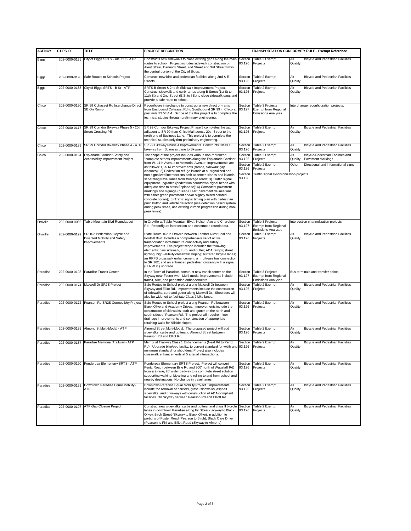| <b>AGENCY</b> | <b>CTIPS ID</b> | <b>TITLE</b>                                                                  | PROJECT DESCRIPTION                                                                                                                                                                                                                                                                                                                                                                                                                                                                                                                                                                                        | TRANSPORTATION CONFORMITY RULE - Exempt Reference |                                                                              |                                         |                                                        |  |
|---------------|-----------------|-------------------------------------------------------------------------------|------------------------------------------------------------------------------------------------------------------------------------------------------------------------------------------------------------------------------------------------------------------------------------------------------------------------------------------------------------------------------------------------------------------------------------------------------------------------------------------------------------------------------------------------------------------------------------------------------------|---------------------------------------------------|------------------------------------------------------------------------------|-----------------------------------------|--------------------------------------------------------|--|
|               |                 |                                                                               |                                                                                                                                                                                                                                                                                                                                                                                                                                                                                                                                                                                                            |                                                   |                                                                              |                                         |                                                        |  |
| <b>Biggs</b>  |                 | 202-0000-0175 City of Biggs SRTS - Aleut St - ATP                             | Constructs new sidewalks to close existing gaps along the main<br>routes to school. Project includes sidewalk construction on<br>Aleut Street, Bannock Street, 2nd Street and 3rd Street within<br>the central portion of the City of Biggs.                                                                                                                                                                                                                                                                                                                                                               | Section<br>93.126                                 | Table 2 Exempt<br>Projects                                                   | Air<br>Quality                          | <b>Bicycle and Pedestrian Facilities</b>               |  |
| Biggs         |                 | 202-0000-0198 Safe Routes to Schools Project                                  | Construct new bike and pedestrian facilities along 2nd & E<br><b>Streets</b>                                                                                                                                                                                                                                                                                                                                                                                                                                                                                                                               | Section<br>93.126                                 | Table 2 Exempt<br>Projects                                                   | Air<br>Quality                          | Bicycle and Pedestrian Facilities                      |  |
| <b>Biggs</b>  |                 | 202-0000-0188 City of Biggs SRTS - B St - ATP                                 | SRTS B Street & 2nd St Sidewalk Improvement Project.<br>Construct sidewalk and curb ramps along B Street (1st St to<br>11th St) and 2nd Street (E St to I St) to close sidewalk gaps and<br>provide a safe route to school.                                                                                                                                                                                                                                                                                                                                                                                | Section<br>93.126                                 | Table 2 Exempt<br>Projects                                                   | Air<br>Quality                          | <b>Bicycle and Pedestrian Facilities</b>               |  |
| Chico         | 202-0000-0130   | SR 99 Cohasset Rd Interchange Direct<br>SB On Ramp                            | Reconfigure interchange to construct a new direct on-ramp<br>from Eastbound Cohasset Rd to Southbound SR 99 in Chico at<br>post mile 33.5/34.4. Scope of the this project is to complete the<br>technical studies through preliminary engineering.                                                                                                                                                                                                                                                                                                                                                         | Section<br>93.127                                 | Table 3 Projects<br><b>Exempt from Regional</b><br><b>Emissions Analyses</b> |                                         | Interchange reconfiguration projects.                  |  |
| Chico         | 202-0000-0117   | SR 99 Corridor Bikeway Phase 5 - 20th<br><b>Street Crossing PE</b>            | SR 99 Corridor Bikeway Project Phase 5 completes the gap<br>adjacent to SR 99 from Chico Mall across 20th Street to the<br>north end of Business Lane. This project is to complete the<br>technical studies only thru preliminary engineering.                                                                                                                                                                                                                                                                                                                                                             | Section<br>93.126                                 | Table 2 Exempt<br>Projects                                                   | Air<br>Quality                          | <b>Bicycle and Pedestrian Facilities</b>               |  |
| Chico         | 202-0000-0189   | SR 99 Corridor Bikeway Phase 4 - ATP                                          | SR 99 Bikeway Phase 4 Improvements. Constructs Class 1<br>bikeway from Business Lane to Skyway.                                                                                                                                                                                                                                                                                                                                                                                                                                                                                                            | Section<br>93.126                                 | Table 2 Exempt<br>Projects                                                   | Air<br>Quality                          | Bicycle and Pedestrian Facilities                      |  |
| Chico         | 202-0000-0194   | Esplanade Corridor Safety and<br>Accessibility Improvement Project            | The scope of the project includes various non-motorized<br>'complete streets improvements along the Esplanade Corridor                                                                                                                                                                                                                                                                                                                                                                                                                                                                                     | Section<br>93.126                                 | Table 2 Exempt<br>Projects                                                   | Air<br>Quality                          | Bicycle/Pedestrian Facilities and<br>Pavement Markings |  |
|               |                 |                                                                               | from W. 11th Avenue to Memorial Avenue. Improvements are<br>as follows: 1) ADA improvements (ramps, sidewalk gap<br>closures); 2) Pedestrian refuge islands at all signalized and                                                                                                                                                                                                                                                                                                                                                                                                                          | Section<br>93.126                                 | Table 2 Exempt<br>Projects                                                   | Other                                   | Directional and informational signs                    |  |
|               |                 |                                                                               | non-signalized intersections both at center islands and islands<br>separating travel lanes from frontage roads; 3) Traffic signal<br>equipment upgrades (pedestrian countdown signal heads with<br>adequate time to cross Esplanade); 4) Consistent pavement<br>markings and signage ("Keep Clear" pavement delineations<br>with either green pavement and/or slightly raised colored<br>concrete option); 5) Traffic signal timing plan with pedestrian<br>push button and vehicle detection (use detection based system<br>during peak times, use existing 28mph progression during non-<br>peak times). | Section<br>93.128                                 |                                                                              | Traffic signal synchronization projects |                                                        |  |
| Oroville      | 202-0000-0086   | Table Mountain Blvd Roundabout                                                | In Oroville at Table Mountain Blvd., Nelson Ave and Cherokee<br>Rd - Reconfigure intersection and construct a roundabout.                                                                                                                                                                                                                                                                                                                                                                                                                                                                                  | Section<br>93.127                                 | Table 3 Projects<br><b>Exempt from Regional</b><br><b>Emissions Analyses</b> |                                         | Intersection channelization projects.                  |  |
| Oroville      | 202-0000-0199   | SR 162 Pedestrian/Bicycle and<br>Disabled Mobility and Safety<br>Improvements | State Route 162 in Oroville between Feather River Blvd and<br>Foothill Blvd. Includes a comprehensive set of active<br>transportation infrastructure connectivity and safety<br>improvements. The project scope includes the following<br>elements: new sidewalk, curb, and gutter; ADA ramps; street<br>lighting; high-visibility crosswalk striping; buffered bicycle lanes;<br>an RRFB crosswalk enhancement; a multi-use trail connection<br>to SR 162; and an enhanced pedestrian crossing with a signal<br>(H.A.W.K.) upgrade.                                                                       | Section<br>93.126                                 | Table 2 Exempt<br>Projects                                                   | Air<br>Quality                          | <b>Bicycle and Pedestrian Facilities</b>               |  |
| Paradise      |                 | 202-0000-0193 Paradise Transit Center                                         | In the Town of Paradise, construct new transit center on the<br>Skyway near Foster Ave. Multi-modal improvements include<br>transit, bike, and pedestrian enhancements.                                                                                                                                                                                                                                                                                                                                                                                                                                    | Section<br>93.127                                 | Table 3 Projects<br><b>Exempt from Regional</b><br><b>Emissions Analyses</b> |                                         | Bus terminals and transfer points.                     |  |
| Paradise      |                 | 202-0000-0174 Maxwell Dr SR2S Project                                         | Safe Routes to School project along Maxwell Dr between<br>Skyway and Elliot Rd. Improvements include the construction<br>of sidewalks, curb and gutter along Maxwell Dr. Shoulders will<br>also be widened to facilitate Class 2 bike lanes.                                                                                                                                                                                                                                                                                                                                                               | Section<br>93.126                                 | Table 2 Exempt<br>Projects                                                   | Air<br>Quality                          | Bicycle and Pedestrian Facilities                      |  |
| Paradise      |                 | 202-0000-0172 Pearson Rd SR2S Connectivity Project                            | Safe Routes to School project along Pearson Rd between<br>Black Olive and Academy Drives. Improvements include the<br>construction of sidewalks, curb and gutter on the north and<br>south sides of Pearson Rd. The project will require minor<br>drainage improvements and construction of appropriate<br>retaining walls for hillside slopes.                                                                                                                                                                                                                                                            | Section<br>93.126                                 | Table 2 Exempt<br>Projects                                                   | Air<br>Quality                          | <b>Bicycle and Pedestrian Facilities</b>               |  |
| Paradise      |                 | 202-0000-0185 Almond St Multi-Modal - ATP                                     | Almond Street Multi-Modal. The proposed project will add<br>sidewalks, curbs and gutters to Almond Street between<br>Pearson Rd and Elliot Rd.                                                                                                                                                                                                                                                                                                                                                                                                                                                             | Section<br>93.126                                 | Table 2 Exempt<br>Projects                                                   | Air<br>Quality                          | Bicycle and Pedestrian Facilities                      |  |
| Paradise      |                 | 202-0000-0187 Paradise Memorial Trailway - ATP                                | Memorial Trailway Class 1 Enhancements (Neal Rd to Pentz<br>Rd). Upgrade bike/ped facility, to current standard for width and<br>minimum standard for shoulders. Project also includes<br>crosswalk enhancements at 5 arterial intersections.                                                                                                                                                                                                                                                                                                                                                              | Section<br>93.126                                 | Table 2 Exempt<br>Projects                                                   | Air<br>Quality                          | <b>Bicycle and Pedestrian Facilities</b>               |  |
| Paradise      |                 | 202-0000-0190 Ponderosa Elementary SRTS - ATP                                 | Ponderosa Elementary SRTS Project. Project will convert<br>Pentz Road (between Bille Rd and 300' north of Wagstaff Rd)<br>from a 2-lane, 20' wide roadway to a complete street solution<br>supporting walking, bicycling and rolling to and from school and<br>nearby destinations. No change in travel lanes.                                                                                                                                                                                                                                                                                             | Section<br>93.126                                 | Table 2 Exempt<br>Projects                                                   | Air<br>Quality                          | <b>Bicycle and Pedestrian Facilities</b>               |  |
| Paradise      | 202-0000-0191   | Downtown Paradise Equal Mobility -<br><b>ATP</b>                              | Downtown Paradise Equal Mobility Project. Improvements<br>include the removal of barriers, gravel sidewalks, asphalt<br>sidewalks, and driveways with construction of ADA-compliant<br>facilities. On Skyway between Pearson Rd and Elliott Rd.                                                                                                                                                                                                                                                                                                                                                            | Section<br>93.126                                 | Table 2 Exempt<br>Projects                                                   | Air<br>Quality                          | <b>Bicycle and Pedestrian Facilities</b>               |  |
| Paradise      |                 | 202-0000-0197 ATP Gap Closure Project                                         | Construct new sidewalks, curbs and gutters, and class II bicycle<br>lanes in downtown Paradise along Fir Street (Skyway to Black<br>Olive), Birch Street (Skyway to Black Olive), in addition to<br>portions of Foster Road (Pearson to Birch), Black Olive Drive<br>(Pearson to Fir) and Elliott Road (Skyway to Almond).                                                                                                                                                                                                                                                                                 | Section<br>93.126                                 | Table 2 Exempt<br>Projects                                                   | Air<br>Quality                          | <b>Bicycle and Pedestrian Facilities</b>               |  |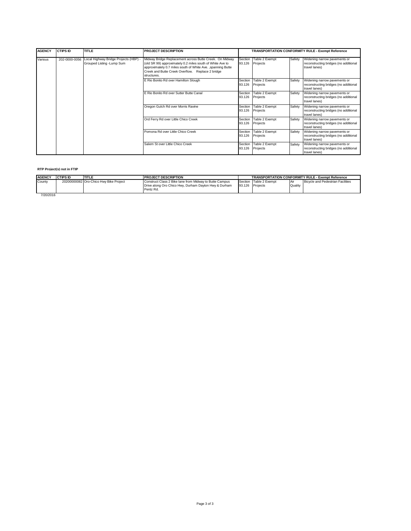| <b>AGENCY</b> | <b>CTIPS ID</b> | <b>TITLE</b>                                                        | <b>PROJECT DESCRIPTION</b>                                                                                                                                                                                                                              |                   | TRANSPORTATION CONFORMITY RULE - Exempt Reference |        |                                                                                        |  |
|---------------|-----------------|---------------------------------------------------------------------|---------------------------------------------------------------------------------------------------------------------------------------------------------------------------------------------------------------------------------------------------------|-------------------|---------------------------------------------------|--------|----------------------------------------------------------------------------------------|--|
| Various       | 202-0000-0056   | Local Highway Bridge Projects (HBP) -<br>Grouped Listing - Lump Sum | Midway Bridge Replacement across Butte Creek. On Midway<br>(old SR 99) approximately 0.2 miles south of White Ave to<br>approximately 0.7 miles south of White Ave. , spanning Butte<br>Creek and Butte Creek Overflow. Replace 2 bridge<br>structures. | Section<br>93.126 | Table 2 Exempt<br>Projects                        | Safety | Widening narrow pavements or<br>reconstructing bridges (no additional<br>travel lanes) |  |
|               |                 |                                                                     | E Rio Bonito Rd over Hamilton Slough                                                                                                                                                                                                                    | Section<br>93.126 | Table 2 Exempt<br>Projects                        | Safety | Widening narrow pavements or<br>reconstructing bridges (no additional<br>travel lanes) |  |
|               |                 |                                                                     | E Rio Bonito Rd over Sutter Butte Canal                                                                                                                                                                                                                 | Section<br>93.126 | Table 2 Exempt<br>Projects                        | Safety | Widening narrow pavements or<br>reconstructing bridges (no additional<br>travel lanes) |  |
|               |                 |                                                                     | Oregon Gulch Rd over Morris Ravine                                                                                                                                                                                                                      | Section<br>93.126 | Table 2 Exempt<br>Projects                        | Safety | Widening narrow pavements or<br>reconstructing bridges (no additional<br>travel lanes) |  |
|               |                 |                                                                     | Ord Ferry Rd over Little Chico Creek                                                                                                                                                                                                                    | Section<br>93.126 | Table 2 Exempt<br>Projects                        | Safety | Widening narrow pavements or<br>reconstructing bridges (no additional<br>travel lanes) |  |
|               |                 |                                                                     | Pomona Rd over Little Chico Creek                                                                                                                                                                                                                       | Section<br>93.126 | Table 2 Exempt<br>Projects                        | Safety | Widening narrow pavements or<br>reconstructing bridges (no additional<br>travel lanes) |  |
|               |                 |                                                                     | Salem St over Little Chico Creek                                                                                                                                                                                                                        | Section<br>93.126 | Table 2 Exempt<br>Projects                        | Safety | Widening narrow pavements or<br>reconstructing bridges (no additional<br>travel lanes) |  |

#### **RTP Project(s) not in FTIP**

| <b>AGENCY</b> | <b>CTIPS ID</b> | <b>TITLE</b>                           | <b>PROJECT DESCRIPTION</b>                                                                                                    | <b>TRANSPORTATION CONFORMITY RULE - Exempt Reference</b> |                                           |         |                                   |
|---------------|-----------------|----------------------------------------|-------------------------------------------------------------------------------------------------------------------------------|----------------------------------------------------------|-------------------------------------------|---------|-----------------------------------|
| County        |                 | 20200000082 Oro-Chico Hwy Bike Project | Construct Class 2 Bike lane from Midway to Butte Campus<br>Drive along Oro Chico Hwy, Durham Dayton Hwy & Durham<br>Pentz Rd. |                                                          | Section Table 2 Exempt<br>93.126 Projects | Quality | Bicycle and Pedestrian Facilities |
| 7/20/2016     |                 |                                        |                                                                                                                               |                                                          |                                           |         |                                   |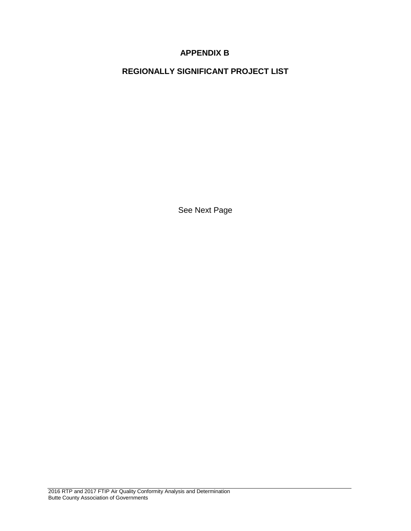# **APPENDIX B**

**REGIONALLY SIGNIFICANT PROJECT LIST**

See Next Page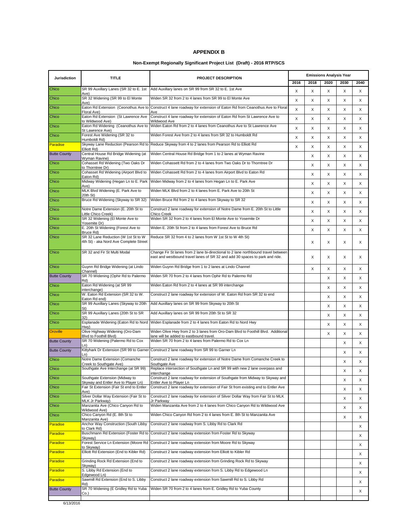#### **APPENDIX B**

#### **Non-Exempt Regionally Significant Project List (Draft) - 2016 RTP/SCS**

| Jurisdiction        | <b>TITLE</b><br><b>PROJECT DESCRIPTION</b>                                      |                                                                                                                                                                    | <b>Emissions Analysis Year</b> |      |          |          |      |
|---------------------|---------------------------------------------------------------------------------|--------------------------------------------------------------------------------------------------------------------------------------------------------------------|--------------------------------|------|----------|----------|------|
|                     |                                                                                 |                                                                                                                                                                    | 2016                           | 2018 | 2020     | 2030     | 2040 |
| Chico               | Ave)                                                                            | SR 99 Auxillary Lanes (SR 32 to E. 1st   Add Auxillary lanes on SR 99 from SR 32 to E. 1st Ave                                                                     | X                              | X    | X        | X        | X    |
| Chico               | SR 32 Widening (SR 99 to El Monte<br>Ave)                                       | Widen SR 32 from 2 to 4 lanes from SR 99 to El Monte Ave                                                                                                           | X                              | X    | X        | X        | Χ    |
| Chico               | Eaton Rd Extension (Ceonothus Ave to<br>Floral Ave)                             | Construct 4 lane roadway for extension of Eaton Rd from Ceanothus Ave to Floral<br>Ave                                                                             | X                              | X    | X        | X        | X    |
| Chico               | Eaton Rd Extension (St Lawrence Ave<br>to Wildwood Ave)                         | Construct 4 lane roadway for extension of Eaton Rd from St Lawrence Ave to<br>Wildwood Ave                                                                         | X                              | X    | X        | X        | X    |
| Chico               | Eaton Rd Widening (Ceanothus Ave to<br>St Lawrence Ave)                         | Widen Eaton Rd from 2 to 4 lanes from Ceanothus Ave to St Lawrence Ave                                                                                             | X                              | X    | X        | X        | X    |
| Chico               | Forest Ave Widening (SR 32 to                                                   | Widen Forest Ave from 2 to 4 lanes from SR 32 to Humboldt Rd                                                                                                       | X                              | X    | X        | X        | X    |
| Paradise            | Humboldt Rd)                                                                    | Skyway Lane Reduction (Pearson Rd to Reduce Skyway from 4 to 2 lanes from Pearson Rd to Elliott Rd                                                                 | X                              | X    | X        | X        | X    |
| <b>Butte County</b> | Elliott Rd)<br>Central House Rd Bridge Widening (at                             | Widen Central House Rd Bridge from 1 to 2 lanes at Wyman Ravine                                                                                                    |                                | X    | X        | X        | X    |
| Chico               | Wyman Ravine)<br>Cohasset Rd Widening (Two Oaks Dr                              | Widen Cohassett Rd from 2 to 4 lanes from Two Oaks Dr to Thorntree Dr                                                                                              |                                | X    | X        | X        | X    |
| Chico               | to Thorntree Dr)<br>Cohasset Rd Widening (Airport Blvd to                       | Widen Cohassett Rd from 2 to 4 lanes from Airport Blvd to Eaton Rd                                                                                                 |                                | X    | X        | X        | X    |
| Chico               | Eaton Rd)<br>Midway Widening (Hegan Ln to E. Park                               | Widen Midway from 2 to 4 lanes from Hegan Ln to E. Park Ave                                                                                                        |                                | X    | X        | X        | X    |
| Chico               | Ave).<br>MLK Blvd Widening (E. Park Ave to                                      | Widen MLK Blvd from 2 to 4 lanes from E. Park Ave to 20th St                                                                                                       |                                |      |          |          |      |
| Chico               | 20th St)<br>Bruce Rd Widening (Skyway to SR 32)                                 | Widen Bruce Rd from 2 to 4 lanes from Skyway to SR 32                                                                                                              |                                | X    | X        | X        | X    |
| Chico               | Notre Dame Extension (E. 20th St to                                             | Construct 2 lane roadway for extension of Notre Dame from E. 20th St to Little                                                                                     |                                | X    | X        | X        | X    |
|                     | Little Chico Creek)<br>SR 32 Widening (El Monte Ave to                          | Chico Creek<br>Widen SR 32 from 2 to 4 lanes from El Monte Ave to Yosemite Dr                                                                                      |                                | X    | X        | X        | X    |
| Chico               | Yosemite Dr)                                                                    |                                                                                                                                                                    |                                | X    | X        | X        | X    |
| Chico               | E. 20th St Widening (Forest Ave to<br>Bruce Rd)                                 | Widen E. 20th St from 2 to 4 lanes from Forest Ave to Bruce Rd                                                                                                     |                                | X    | X        | X        | X    |
| Chico               | SR 32 Lane Reduction (W 1st St to W<br>4th St) - aka Nord Ave Complete Street   | Reduce SR 32 from 4 to 2 lanes from W 1st St to W 4th St)                                                                                                          |                                | X    | X        | X        | X    |
| Chico               | SR 32 and Fir St Multi Modal                                                    | Change Fir St lanes from 2 lane bi-directional to 2 lane northbound travel between<br>east and westbound travel lanes of SR 32 and add 30 spaces to park and ride. |                                | X    | X        | X        | X    |
| Chico               | Guynn Rd Bridge Widening (at Lindo<br>Channel)                                  | Widen Guynn Rd Bridge from 1 to 2 lanes at Lindo Channel                                                                                                           |                                | X    | X        | X        | X    |
| <b>Butte County</b> | SR 70 Widening (Ophir Rd to Palermo<br>Rd)                                      | Widen SR 70 from 2 to 4 lanes from Ophir Rd to Palermo Rd                                                                                                          |                                |      | $\times$ | $\times$ | X    |
| Chico               | Eaton Rd Widening (at SR 99<br>interchange)                                     | Widen Eaton Rd from 2 to 4 lanes at SR 99 interchange                                                                                                              |                                |      | X        | X        | X    |
| Chico               | W. Eaton Rd Extension (SR 32 to W.<br>Eaton Rd end)                             | Construct 2 lane roadway for extension of W. Eaton Rd from SR 32 to end                                                                                            |                                |      | X        | X        | X    |
| Chico               | SR 99 Auxillary Lanes (Skyway to 20th                                           | Add Auxillary lanes on SR 99 from Skyway to 20th St                                                                                                                |                                |      | X        | X        | X    |
| Chico               | St)<br>SR 99 Auxillary Lanes (20th St to SR                                     | Add Auxillary lanes on SR 99 from 20th St to SR 32                                                                                                                 |                                |      | X        | X        | X    |
| Chico               | 32)<br>Esplanade Widening (Eaton Rd to Nord                                     | Widen Esplanade from 2 to 4 lanes from Eaton Rd to Nord Hwy                                                                                                        |                                |      | X        | X        | X    |
| Oroville            | Hwy)<br>Olive Highway Widening (Oro-Dam                                         | Widen Olive Hwy from 2 to 3 lanes from Oro-Dam Blvd to Foothill Blvd. Additional                                                                                   |                                |      | X        | X        | Χ    |
| <b>Butte County</b> | Blvd to Foothill Blvd)<br>SR 70 Widening (Palermo Rd to Cox                     | lane will be added to eastbound travel.<br>Widen SR 70 from 2 to 4 lanes from Palermo Rd to Cox Ln                                                                 |                                |      |          | X        | X    |
| <b>Butte County</b> | Ln)<br>Kittyhark Dr Extension (SR 99 to Garner                                  | Construct 2 lane roadway from SR 99 to Garner Ln                                                                                                                   |                                |      |          | X        | X    |
| Chico               | Ln)<br>Notre Dame Extension (Comanche                                           | Construct 2 lane roadway for extension of Notre Dame from Comanche Creek to                                                                                        |                                |      |          | X        | X    |
| Chico               | Creek to Southgate Ave)<br>Southgate Ave Interchange (at SR 99)                 | Southgate Ave<br>Replace intersection of Southgate Ln and SR 99 with new 2 lane overpass and                                                                       |                                |      |          | X        | Χ    |
| Chico               | Southgate Extension (Midway to                                                  | interchange<br>Construct 2 lane roadway for extension of Southgate from Midway to Skyway and                                                                       |                                |      |          | Х        |      |
| Chico               | Skyway and Entler Ave to Player Ln)<br>Fair St Extension (Fair St end to Entler | Entler Ave to Player Ln<br>Construct 2 lane roadway for extension of Fair St from existing end to Entler Ave                                                       |                                |      |          |          | Х    |
| Chico               | Ave)<br>Silver Dollar Way Extension (Fair St to                                 | Construct 2 lane roadway for extension of Silver Dollar Way from Fair St to MLK                                                                                    |                                |      |          | X        | Х    |
| Chico               | MLK Jr Parkway)<br>Manzanita Ave (Chico Canyon Rd to                            | Jr Parkwav<br>Widen Manzanita Ave from 2 to 4 lanes from Chico Canyon Rd to Wildwood Ave                                                                           |                                |      |          | X        | X    |
| Chico               | (Wildwood Ave<br>Chico Canyon Rd (E. 8th St to                                  | Widen Chico Canyon Rd from 2 to 4 lanes from E. 8th St to Manzanita Ave                                                                                            |                                |      |          | X        | X    |
|                     | Manzanita Ave)<br>Anchor Way Construction (South Libby                          | Construct 2 lane roadway from S. Libby Rd to Clark Rd                                                                                                              |                                |      |          | Х        | Х    |
| Paradise            | to Clark Rd)                                                                    |                                                                                                                                                                    |                                |      |          |          | X    |
| Paradise            | Buschmann Rd Extension (Foster Rd to<br>Skvwav)                                 | Construct 2 lane roadway extension from Foster Rd to Skyway                                                                                                        |                                |      |          |          | X    |
| <b>Paradise</b>     | Forest Service Ln Extension (Moore Rd<br>to Skyway)                             | Construct 2 lane roadway extension from Moore Rd to Skyway                                                                                                         |                                |      |          |          | Х    |
| Paradise            | Elliott Rd Extension (End to Kibler Rd)                                         | Construct 2 lane roadway extension from Elliott to Kibler Rd                                                                                                       |                                |      |          |          | X    |
| <b>Paradise</b>     | Grinding Rock Rd Extension (End to<br>Skyway)                                   | Construct 2 lane roadway extension from Grinding Rock Rd to Skyway                                                                                                 |                                |      |          |          | Х    |
| Paradise            | S. Libby Rd Extension (End to<br>Edgewood Ln)                                   | Construct 2 lane roadway extension from S. Libby Rd to Edgewood Ln                                                                                                 |                                |      |          |          | X    |
| <b>Paradise</b>     | Sawmill Rd Extension (End to S. Libby<br>Rd)                                    | Construct 2 lane roadway extension from Sawmill Rd to S. Libby Rd                                                                                                  |                                |      |          |          | X    |
| <b>Butte County</b> | SR 70 Widening (E Gridley Rd to Yuba<br>Co.)                                    | Widen SR 70 from 2 to 4 lanes from E. Gridley Rd to Yuba County                                                                                                    |                                |      |          |          | X    |
|                     |                                                                                 |                                                                                                                                                                    |                                |      |          |          |      |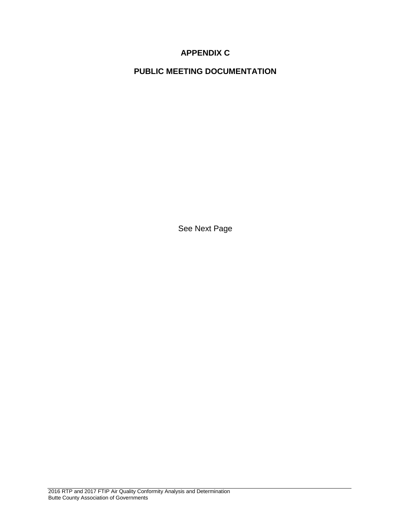# **APPENDIX C**

**PUBLIC MEETING DOCUMENTATION**

See Next Page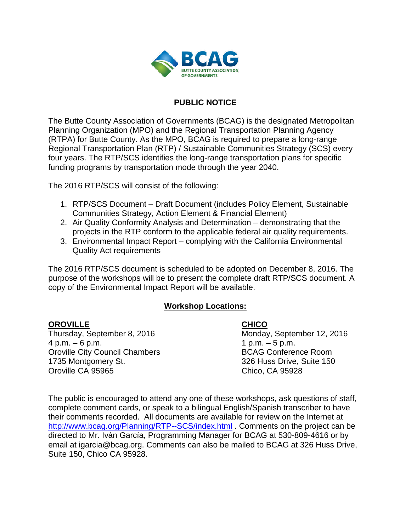

# **PUBLIC NOTICE**

The Butte County Association of Governments (BCAG) is the designated Metropolitan Planning Organization (MPO) and the Regional Transportation Planning Agency (RTPA) for Butte County. As the MPO, BCAG is required to prepare a long-range Regional Transportation Plan (RTP) / Sustainable Communities Strategy (SCS) every four years. The RTP/SCS identifies the long-range transportation plans for specific funding programs by transportation mode through the year 2040.

The 2016 RTP/SCS will consist of the following:

- 1. RTP/SCS Document Draft Document (includes Policy Element, Sustainable Communities Strategy, Action Element & Financial Element)
- 2. Air Quality Conformity Analysis and Determination demonstrating that the projects in the RTP conform to the applicable federal air quality requirements.
- 3. Environmental Impact Report complying with the California Environmental Quality Act requirements

The 2016 RTP/SCS document is scheduled to be adopted on December 8, 2016. The purpose of the workshops will be to present the complete draft RTP/SCS document. A copy of the Environmental Impact Report will be available.

# **Workshop Locations:**

# **OROVILLE CHICO**

Thursday, September 8, 2016 Monday, September 12, 2016  $4 p.m. - 6 p.m.$  1 p.m.  $- 5 p.m.$ Oroville City Council Chambers BCAG Conference Room 1735 Montgomery St. 326 Huss Drive, Suite 150 Oroville CA 95965 Chico, CA 95928

The public is encouraged to attend any one of these workshops, ask questions of staff, complete comment cards, or speak to a bilingual English/Spanish transcriber to have their comments recorded. All documents are available for review on the Internet at <http://www.bcag.org/Planning/RTP--SCS/index.html> . Comments on the project can be directed to Mr. Iván García, Programming Manager for BCAG at 530-809-4616 or by email at igarcia@bcag.org. Comments can also be mailed to BCAG at 326 Huss Drive, Suite 150, Chico CA 95928.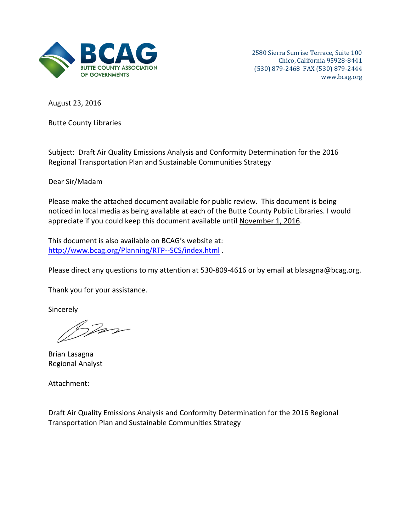

August 23, 2016

Butte County Libraries

Subject: Draft Air Quality Emissions Analysis and Conformity Determination for the 2016 Regional Transportation Plan and Sustainable Communities Strategy

Dear Sir/Madam

Please make the attached document available for public review. This document is being noticed in local media as being available at each of the Butte County Public Libraries. I would appreciate if you could keep this document available until November 1, 2016.

This document is also available on BCAG's website at: <http://www.bcag.org/Planning/RTP--SCS/index.html> .

Please direct any questions to my attention at 530-809-4616 or by email at blasagna@bcag.org.

Thank you for your assistance.

**Sincerely** 

Star

Brian Lasagna Regional Analyst

Attachment:

Draft Air Quality Emissions Analysis and Conformity Determination for the 2016 Regional Transportation Plan and Sustainable Communities Strategy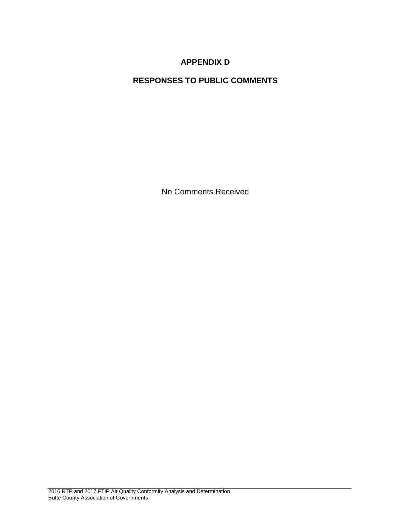# **APPENDIX D**

# **RESPONSES TO PUBLIC COMMENTS**

No Comments Received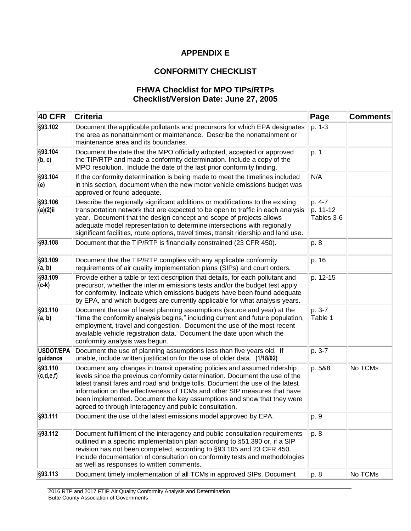# **APPENDIX E**

# **CONFORMITY CHECKLIST**

# **FHWA Checklist for MPO TIPs/RTPs Checklist/Version Date: June 27, 2005**

| <b>40 CFR</b>                | <b>Criteria</b>                                                                                                                                                                                                                                                                                                                                                                                                                                            | Page                             | <b>Comments</b> |
|------------------------------|------------------------------------------------------------------------------------------------------------------------------------------------------------------------------------------------------------------------------------------------------------------------------------------------------------------------------------------------------------------------------------------------------------------------------------------------------------|----------------------------------|-----------------|
| §93.102                      | Document the applicable pollutants and precursors for which EPA designates<br>the area as nonattainment or maintenance. Describe the nonattainment or<br>maintenance area and its boundaries.                                                                                                                                                                                                                                                              | p. 1-3                           |                 |
| §93.104<br>(b, c)            | Document the date that the MPO officially adopted, accepted or approved<br>the TIP/RTP and made a conformity determination. Include a copy of the<br>MPO resolution. Include the date of the last prior conformity finding.                                                                                                                                                                                                                                | p. 1                             |                 |
| §93.104<br>(e)               | If the conformity determination is being made to meet the timelines included<br>in this section, document when the new motor vehicle emissions budget was<br>approved or found adequate.                                                                                                                                                                                                                                                                   | N/A                              |                 |
| §93.106<br>(a)(2)ii          | Describe the regionally significant additions or modifications to the existing<br>transportation network that are expected to be open to traffic in each analysis<br>year. Document that the design concept and scope of projects allows<br>adequate model representation to determine intersections with regionally<br>significant facilities, route options, travel times, transit ridership and land use.                                               | p. 4-7<br>p. 11-12<br>Tables 3-6 |                 |
| §93.108                      | Document that the TIP/RTP is financially constrained (23 CFR 450).                                                                                                                                                                                                                                                                                                                                                                                         | p. 8                             |                 |
| §93.109<br>(a, b)            | Document that the TIP/RTP complies with any applicable conformity<br>requirements of air quality implementation plans (SIPs) and court orders.                                                                                                                                                                                                                                                                                                             | p. 16                            |                 |
| §93.109<br>(c-k)             | Provide either a table or text description that details, for each pollutant and<br>precursor, whether the interim emissions tests and/or the budget test apply<br>for conformity. Indicate which emissions budgets have been found adequate<br>by EPA, and which budgets are currently applicable for what analysis years.                                                                                                                                 | p. 12-15                         |                 |
| §93.110<br>(a, b)            | Document the use of latest planning assumptions (source and year) at the<br>"time the conformity analysis begins," including current and future population,<br>employment, travel and congestion. Document the use of the most recent<br>available vehicle registration data. Document the date upon which the<br>conformity analysis was begun.                                                                                                           | p. 3-7<br>Table 1                |                 |
| <b>USDOT/EPA</b><br>guidance | Document the use of planning assumptions less than five years old. If<br>unable, include written justification for the use of older data. (1/18/02)                                                                                                                                                                                                                                                                                                        | p. 3-7                           |                 |
| §93.110<br>(c,d,e,f)         | Document any changes in transit operating policies and assumed ridership<br>levels since the previous conformity determination. Document the use of the<br>latest transit fares and road and bridge tolls. Document the use of the latest<br>information on the effectiveness of TCMs and other SIP measures that have<br>been implemented. Document the key assumptions and show that they were<br>agreed to through Interagency and public consultation. | p. 5&8                           | No TCMs         |
| §93.111                      | Document the use of the latest emissions model approved by EPA.                                                                                                                                                                                                                                                                                                                                                                                            | p. 9                             |                 |
| §93.112                      | Document fulfillment of the interagency and public consultation requirements<br>outlined in a specific implementation plan according to §51.390 or, if a SIP<br>revision has not been completed, according to §93.105 and 23 CFR 450.<br>Include documentation of consultation on conformity tests and methodologies<br>as well as responses to written comments.                                                                                          | p. 8                             |                 |
| §93.113                      | Document timely implementation of all TCMs in approved SIPs. Document                                                                                                                                                                                                                                                                                                                                                                                      | p. 8                             | No TCMs         |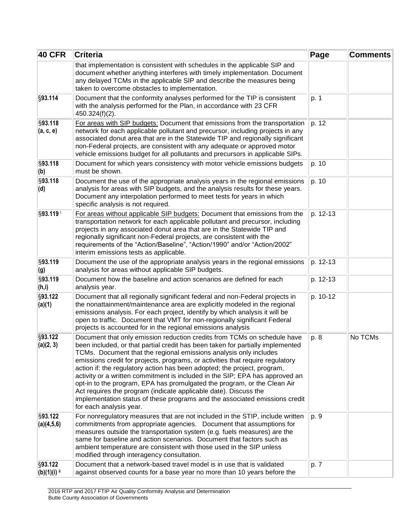| <b>40 CFR</b>                       | <b>Criteria</b>                                                                                                                                                                                                                                                                                                                                                                                                                                                                                                                                                                                                                                                                                                                         | Page     | <b>Comments</b> |
|-------------------------------------|-----------------------------------------------------------------------------------------------------------------------------------------------------------------------------------------------------------------------------------------------------------------------------------------------------------------------------------------------------------------------------------------------------------------------------------------------------------------------------------------------------------------------------------------------------------------------------------------------------------------------------------------------------------------------------------------------------------------------------------------|----------|-----------------|
|                                     | that implementation is consistent with schedules in the applicable SIP and<br>document whether anything interferes with timely implementation. Document<br>any delayed TCMs in the applicable SIP and describe the measures being<br>taken to overcome obstacles to implementation.                                                                                                                                                                                                                                                                                                                                                                                                                                                     |          |                 |
| §93.114                             | Document that the conformity analyses performed for the TIP is consistent<br>with the analysis performed for the Plan, in accordance with 23 CFR<br>450.324(f)(2).                                                                                                                                                                                                                                                                                                                                                                                                                                                                                                                                                                      | p. 1     |                 |
| §93.118<br>(a, c, e)                | For areas with SIP budgets: Document that emissions from the transportation<br>network for each applicable pollutant and precursor, including projects in any<br>associated donut area that are in the Statewide TIP and regionally significant<br>non-Federal projects, are consistent with any adequate or approved motor<br>vehicle emissions budget for all pollutants and precursors in applicable SIPs.                                                                                                                                                                                                                                                                                                                           | p. 12    |                 |
| §93.118<br>(b)                      | Document for which years consistency with motor vehicle emissions budgets<br>must be shown.                                                                                                                                                                                                                                                                                                                                                                                                                                                                                                                                                                                                                                             | p. 10    |                 |
| §93.118<br>(d)                      | Document the use of the appropriate analysis years in the regional emissions<br>analysis for areas with SIP budgets, and the analysis results for these years.<br>Document any interpolation performed to meet tests for years in which<br>specific analysis is not required.                                                                                                                                                                                                                                                                                                                                                                                                                                                           | p. 10    |                 |
| §93.119                             | For areas without applicable SIP budgets: Document that emissions from the<br>transportation network for each applicable pollutant and precursor, including<br>projects in any associated donut area that are in the Statewide TIP and<br>regionally significant non-Federal projects, are consistent with the<br>requirements of the "Action/Baseline", "Action/1990" and/or "Action/2002"<br>interim emissions tests as applicable.                                                                                                                                                                                                                                                                                                   | p. 12-13 |                 |
| §93.119<br>(g)                      | Document the use of the appropriate analysis years in the regional emissions<br>analysis for areas without applicable SIP budgets.                                                                                                                                                                                                                                                                                                                                                                                                                                                                                                                                                                                                      | p. 12-13 |                 |
| §93.119<br>(h,i)                    | Document how the baseline and action scenarios are defined for each<br>analysis year.                                                                                                                                                                                                                                                                                                                                                                                                                                                                                                                                                                                                                                                   | p. 12-13 |                 |
| §93.122<br>(a)(1)                   | Document that all regionally significant federal and non-Federal projects in<br>the nonattainment/maintenance area are explicitly modeled in the regional<br>emissions analysis. For each project, identify by which analysis it will be<br>open to traffic. Document that VMT for non-regionally significant Federal<br>projects is accounted for in the regional emissions analysis                                                                                                                                                                                                                                                                                                                                                   | p. 10-12 |                 |
| §93.122<br>(a)(2, 3)                | Document that only emission reduction credits from TCMs on schedule have<br>been included, or that partial credit has been taken for partially implemented<br>TCMs. Document that the regional emissions analysis only includes<br>emissions credit for projects, programs, or activities that require regulatory<br>action if: the regulatory action has been adopted; the project, program,<br>activity or a written commitment is included in the SIP; EPA has approved an<br>opt-in to the program, EPA has promulgated the program, or the Clean Air<br>Act requires the program (indicate applicable date). Discuss the<br>implementation status of these programs and the associated emissions credit<br>for each analysis year. | p. 8     | No TCMs         |
| §93.122<br>(a)(4,5,6)               | For nonregulatory measures that are not included in the STIP, include written<br>commitments from appropriate agencies. Document that assumptions for<br>measures outside the transportation system (e.g. fuels measures) are the<br>same for baseline and action scenarios. Document that factors such as<br>ambient temperature are consistent with those used in the SIP unless<br>modified through interagency consultation.                                                                                                                                                                                                                                                                                                        | p. 9     |                 |
| §93.122<br> (b)(1)(i) <sup>ii</sup> | Document that a network-based travel model is in use that is validated<br>against observed counts for a base year no more than 10 years before the                                                                                                                                                                                                                                                                                                                                                                                                                                                                                                                                                                                      | p. 7     |                 |